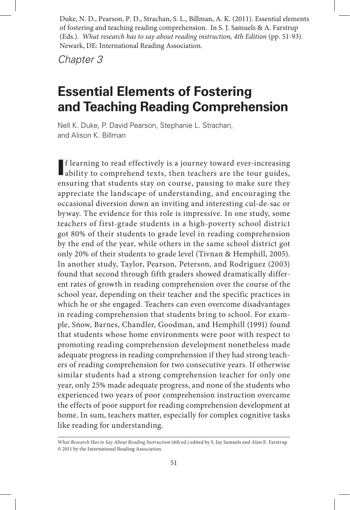Duke, N. D., Pearson, P. D., Strachan, S. L., Billman, A. K. (2011). Essential elements of fostering and teaching reading comprehension. In S. J. Samuels & A. Farstrup (Eds.). *What research has to say about reading instruction, 4th Edition* (pp. 51-93). Newark, DE: International Reading Association.

Chapter 3

# **Essential Elements of Fostering and Teaching Reading Comprehension**

Nell K. Duke, P. David Pearson, Stephanie L. Strachan, and Alison K. Billman

If learning to read effectively is a journey toward ever-increasing ability to comprehend texts, then teachers are the tour guides, f learning to read effectively is a journey toward ever-increasing ensuring that students stay on course, pausing to make sure they appreciate the landscape of understanding, and encouraging the occasional diversion down an inviting and interesting cul-de-sac or byway. The evidence for this role is impressive. In one study, some teachers of first-grade students in a high-poverty school district got 80% of their students to grade level in reading comprehension by the end of the year, while others in the same school district got only 20% of their students to grade level (Tivnan & Hemphill, 2005). In another study, Taylor, Pearson, Peterson, and Rodriguez (2003) found that second through fifth graders showed dramatically different rates of growth in reading comprehension over the course of the school year, depending on their teacher and the specific practices in which he or she engaged. Teachers can even overcome disadvantages in reading comprehension that students bring to school. For example, Snow, Barnes, Chandler, Goodman, and Hemphill (1991) found that students whose home environments were poor with respect to promoting reading comprehension development nonetheless made adequate progress in reading comprehension if they had strong teachers of reading comprehension for two consecutive years. If otherwise similar students had a strong comprehension teacher for only one year, only 25% made adequate progress, and none of the students who experienced two years of poor comprehension instruction overcame the effects of poor support for reading comprehension development at home. In sum, teachers matter, especially for complex cognitive tasks like reading for understanding.

What Research Has to Say About Reading Instruction (4th ed.) edited by S. Jay Samuels and Alan E. Farstrup. © 2011 by the International Reading Association.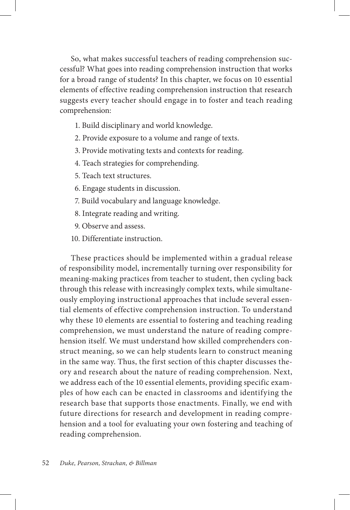So, what makes successful teachers of reading comprehension successful? What goes into reading comprehension instruction that works for a broad range of students? In this chapter, we focus on 10 essential elements of effective reading comprehension instruction that research suggests every teacher should engage in to foster and teach reading comprehension:

- 1. Build disciplinary and world knowledge.
- 2. Provide exposure to a volume and range of texts.
- 3. Provide motivating texts and contexts for reading.
- 4. Teach strategies for comprehending.
- 5. Teach text structures.
- 6. Engage students in discussion.
- 7. Build vocabulary and language knowledge.
- 8. Integrate reading and writing.
- 9. Observe and assess.
- 10. Differentiate instruction.

These practices should be implemented within a gradual release of responsibility model, incrementally turning over responsibility for meaning-making practices from teacher to student, then cycling back through this release with increasingly complex texts, while simultaneously employing instructional approaches that include several essential elements of effective comprehension instruction. To understand why these 10 elements are essential to fostering and teaching reading comprehension, we must understand the nature of reading comprehension itself. We must understand how skilled comprehenders construct meaning, so we can help students learn to construct meaning in the same way. Thus, the first section of this chapter discusses theory and research about the nature of reading comprehension. Next, we address each of the 10 essential elements, providing specific examples of how each can be enacted in classrooms and identifying the research base that supports those enactments. Finally, we end with future directions for research and development in reading comprehension and a tool for evaluating your own fostering and teaching of reading comprehension.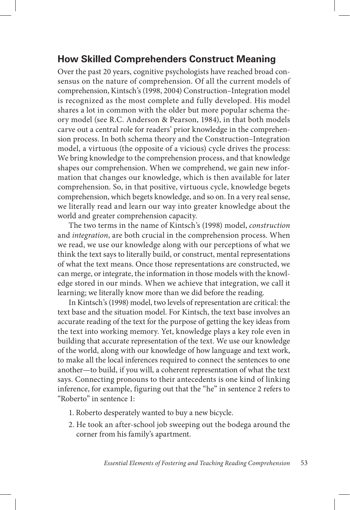# **How Skilled Comprehenders Construct Meaning**

Over the past 20 years, cognitive psychologists have reached broad consensus on the nature of comprehension. Of all the current models of comprehension, Kintsch's (1998, 2004) Construction–Integration model is recognized as the most complete and fully developed. His model shares a lot in common with the older but more popular schema theory model (see R.C. Anderson & Pearson, 1984), in that both models carve out a central role for readers' prior knowledge in the comprehension process. In both schema theory and the Construction–Integration model, a virtuous (the opposite of a vicious) cycle drives the process: We bring knowledge to the comprehension process, and that knowledge shapes our comprehension. When we comprehend, we gain new information that changes our knowledge, which is then available for later comprehension. So, in that positive, virtuous cycle, knowledge begets comprehension, which begets knowledge, and so on. In a very real sense, we literally read and learn our way into greater knowledge about the world and greater comprehension capacity.

The two terms in the name of Kintsch's (1998) model, construction and integration, are both crucial in the comprehension process. When we read, we use our knowledge along with our perceptions of what we think the text says to literally build, or construct, mental representations of what the text means. Once those representations are constructed, we can merge, or integrate, the information in those models with the knowledge stored in our minds. When we achieve that integration, we call it learning; we literally know more than we did before the reading.

In Kintsch's (1998) model, two levels of representation are critical: the text base and the situation model. For Kintsch, the text base involves an accurate reading of the text for the purpose of getting the key ideas from the text into working memory. Yet, knowledge plays a key role even in building that accurate representation of the text. We use our knowledge of the world, along with our knowledge of how language and text work, to make all the local inferences required to connect the sentences to one another—to build, if you will, a coherent representation of what the text says. Connecting pronouns to their antecedents is one kind of linking inference, for example, figuring out that the "he" in sentence 2 refers to "Roberto" in sentence 1:

- 1. Roberto desperately wanted to buy a new bicycle.
- 2. He took an after-school job sweeping out the bodega around the corner from his family's apartment.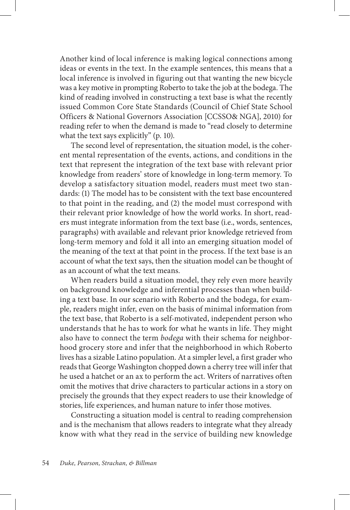Another kind of local inference is making logical connections among ideas or events in the text. In the example sentences, this means that a local inference is involved in figuring out that wanting the new bicycle was a key motive in prompting Roberto to take the job at the bodega. The kind of reading involved in constructing a text base is what the recently issued Common Core State Standards (Council of Chief State School Officers & National Governors Association [CCSSO& NGA], 2010) for reading refer to when the demand is made to "read closely to determine what the text says explicitly" (p. 10).

The second level of representation, the situation model, is the coherent mental representation of the events, actions, and conditions in the text that represent the integration of the text base with relevant prior knowledge from readers' store of knowledge in long-term memory. To develop a satisfactory situation model, readers must meet two standards: (1) The model has to be consistent with the text base encountered to that point in the reading, and (2) the model must correspond with their relevant prior knowledge of how the world works. In short, readers must integrate information from the text base (i.e., words, sentences, paragraphs) with available and relevant prior knowledge retrieved from long-term memory and fold it all into an emerging situation model of the meaning of the text at that point in the process. If the text base is an account of what the text says, then the situation model can be thought of as an account of what the text means.

When readers build a situation model, they rely even more heavily on background knowledge and inferential processes than when building a text base. In our scenario with Roberto and the bodega, for example, readers might infer, even on the basis of minimal information from the text base, that Roberto is a self-motivated, independent person who understands that he has to work for what he wants in life. They might also have to connect the term *bodega* with their schema for neighborhood grocery store and infer that the neighborhood in which Roberto lives has a sizable Latino population. At a simpler level, a first grader who reads that George Washington chopped down a cherry tree will infer that he used a hatchet or an ax to perform the act. Writers of narratives often omit the motives that drive characters to particular actions in a story on precisely the grounds that they expect readers to use their knowledge of stories, life experiences, and human nature to infer those motives.

Constructing a situation model is central to reading comprehension and is the mechanism that allows readers to integrate what they already know with what they read in the service of building new knowledge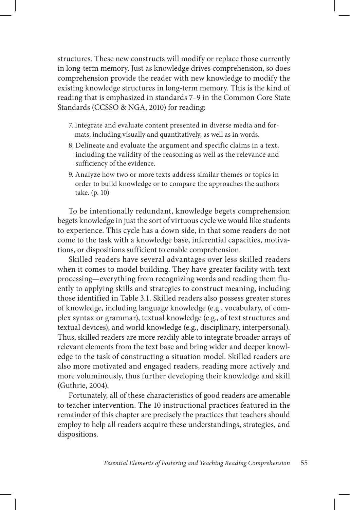structures. These new constructs will modify or replace those currently in long-term memory. Just as knowledge drives comprehension, so does comprehension provide the reader with new knowledge to modify the existing knowledge structures in long-term memory. This is the kind of reading that is emphasized in standards 7–9 in the Common Core State Standards (CCSSO & NGA, 2010) for reading:

- 7. Integrate and evaluate content presented in diverse media and formats, including visually and quantitatively, as well as in words.
- 8. Delineate and evaluate the argument and specific claims in a text, including the validity of the reasoning as well as the relevance and sufficiency of the evidence.
- 9. Analyze how two or more texts address similar themes or topics in order to build knowledge or to compare the approaches the authors take. (p. 10)

To be intentionally redundant, knowledge begets comprehension begets knowledge in just the sort of virtuous cycle we would like students to experience. This cycle has a down side, in that some readers do not come to the task with a knowledge base, inferential capacities, motivations, or dispositions sufficient to enable comprehension.

Skilled readers have several advantages over less skilled readers when it comes to model building. They have greater facility with text processing—everything from recognizing words and reading them fluently to applying skills and strategies to construct meaning, including those identified in Table 3.1. Skilled readers also possess greater stores of knowledge, including language knowledge (e.g., vocabulary, of complex syntax or grammar), textual knowledge (e.g., of text structures and textual devices), and world knowledge (e.g., disciplinary, interpersonal). Thus, skilled readers are more readily able to integrate broader arrays of relevant elements from the text base and bring wider and deeper knowledge to the task of constructing a situation model. Skilled readers are also more motivated and engaged readers, reading more actively and more voluminously, thus further developing their knowledge and skill (Guthrie, 2004).

Fortunately, all of these characteristics of good readers are amenable to teacher intervention. The 10 instructional practices featured in the remainder of this chapter are precisely the practices that teachers should employ to help all readers acquire these understandings, strategies, and dispositions.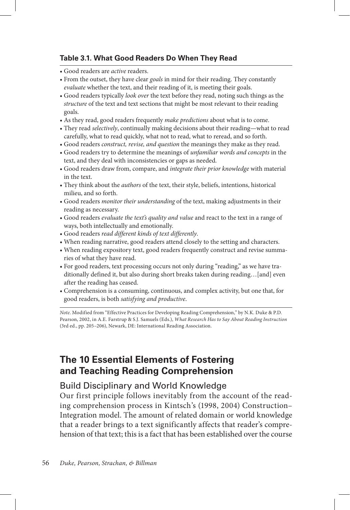### **Table 3.1. What Good Readers Do When They Read**

- Good readers are active readers.
- From the outset, they have clear goals in mind for their reading. They constantly evaluate whether the text, and their reading of it, is meeting their goals.
- Good readers typically look over the text before they read, noting such things as the structure of the text and text sections that might be most relevant to their reading goals.
- As they read, good readers frequently make predictions about what is to come.
- They read selectively, continually making decisions about their reading—what to read carefully, what to read quickly, what not to read, what to reread, and so forth.
- Good readers construct, revise, and question the meanings they make as they read.
- Good readers try to determine the meanings of unfamiliar words and concepts in the text, and they deal with inconsistencies or gaps as needed.
- Good readers draw from, compare, and integrate their prior knowledge with material in the text.
- They think about the *authors* of the text, their style, beliefs, intentions, historical milieu, and so forth.
- Good readers monitor their understanding of the text, making adjustments in their reading as necessary.
- Good readers evaluate the text's quality and value and react to the text in a range of ways, both intellectually and emotionally.
- Good readers read different kinds of text differently.
- When reading narrative, good readers attend closely to the setting and characters.
- When reading expository text, good readers frequently construct and revise summaries of what they have read.
- For good readers, text processing occurs not only during "reading," as we have traditionally defined it, but also during short breaks taken during reading…[and] even after the reading has ceased.
- Comprehension is a consuming, continuous, and complex activity, but one that, for good readers, is both satisfying and productive.

Note. Modified from "Effective Practices for Developing Reading Comprehension," by N.K. Duke & P.D. Pearson, 2002, in A.E. Farstrup & S.J. Samuels (Eds.), What Research Has to Say About Reading Instruction (3rd ed., pp. 205–206), Newark, DE: International Reading Association.

# **The 10 Essential Elements of Fostering and Teaching Reading Comprehension**

### Build Disciplinary and World Knowledge

Our first principle follows inevitably from the account of the reading comprehension process in Kintsch's (1998, 2004) Construction– Integration model. The amount of related domain or world knowledge that a reader brings to a text significantly affects that reader's comprehension of that text; this is a fact that has been established over the course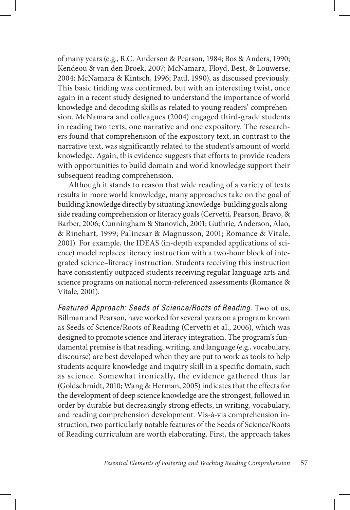of many years (e.g., R.C. Anderson & Pearson, 1984; Bos & Anders, 1990; Kendeou & van den Broek, 2007; McNamara, Floyd, Best, & Louwerse, 2004; McNamara & Kintsch, 1996; Paul, 1990), as discussed previously. This basic finding was confirmed, but with an interesting twist, once again in a recent study designed to understand the importance of world knowledge and decoding skills as related to young readers' comprehension. McNamara and colleagues (2004) engaged third-grade students in reading two texts, one narrative and one expository. The researchers found that comprehension of the expository text, in contrast to the narrative text, was significantly related to the student's amount of world knowledge. Again, this evidence suggests that efforts to provide readers with opportunities to build domain and world knowledge support their subsequent reading comprehension.

Although it stands to reason that wide reading of a variety of texts results in more world knowledge, many approaches take on the goal of building knowledge directly by situating knowledge-building goals alongside reading comprehension or literacy goals (Cervetti, Pearson, Bravo, & Barber, 2006; Cunningham & Stanovich, 2001; Guthrie, Anderson, Alao, & Rinehart, 1999; Palincsar & Magnusson, 2001; Romance & Vitale, 2001). For example, the IDEAS (in-depth expanded applications of science) model replaces literacy instruction with a two-hour block of integrated science–literacy instruction. Students receiving this instruction have consistently outpaced students receiving regular language arts and science programs on national norm-referenced assessments (Romance & Vitale, 2001).

Featured Approach: Seeds of Science/Roots of Reading. Two of us, Billman and Pearson, have worked for several years on a program known as Seeds of Science/Roots of Reading (Cervetti et al., 2006), which was designed to promote science and literacy integration. The program's fundamental premise is that reading, writing, and language (e.g., vocabulary, discourse) are best developed when they are put to work as tools to help students acquire knowledge and inquiry skill in a specific domain, such as science. Somewhat ironically, the evidence gathered thus far (Goldschmidt, 2010; Wang & Herman, 2005) indicates that the effects for the development of deep science knowledge are the strongest, followed in order by durable but decreasingly strong effects, in writing, vocabulary, and reading comprehension development. Vis-à-vis comprehension instruction, two particularly notable features of the Seeds of Science/Roots of Reading curriculum are worth elaborating. First, the approach takes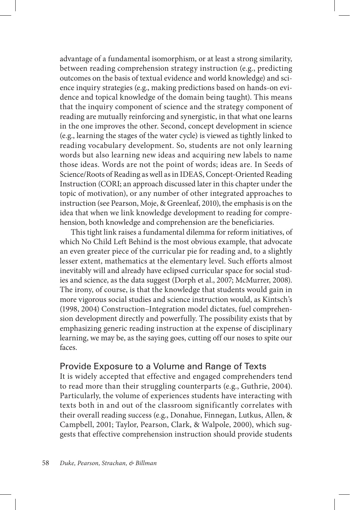advantage of a fundamental isomorphism, or at least a strong similarity, between reading comprehension strategy instruction (e.g., predicting outcomes on the basis of textual evidence and world knowledge) and science inquiry strategies (e.g., making predictions based on hands-on evidence and topical knowledge of the domain being taught). This means that the inquiry component of science and the strategy component of reading are mutually reinforcing and synergistic, in that what one learns in the one improves the other. Second, concept development in science (e.g., learning the stages of the water cycle) is viewed as tightly linked to reading vocabulary development. So, students are not only learning words but also learning new ideas and acquiring new labels to name those ideas. Words are not the point of words; ideas are. In Seeds of Science/Roots of Reading as well as in IDEAS, Concept-Oriented Reading Instruction (CORI; an approach discussed later in this chapter under the topic of motivation), or any number of other integrated approaches to instruction (see Pearson, Moje, & Greenleaf, 2010), the emphasis is on the idea that when we link knowledge development to reading for comprehension, both knowledge and comprehension are the beneficiaries.

This tight link raises a fundamental dilemma for reform initiatives, of which No Child Left Behind is the most obvious example, that advocate an even greater piece of the curricular pie for reading and, to a slightly lesser extent, mathematics at the elementary level. Such efforts almost inevitably will and already have eclipsed curricular space for social studies and science, as the data suggest (Dorph et al., 2007; McMurrer, 2008). The irony, of course, is that the knowledge that students would gain in more vigorous social studies and science instruction would, as Kintsch's (1998, 2004) Construction–Integration model dictates, fuel comprehension development directly and powerfully. The possibility exists that by emphasizing generic reading instruction at the expense of disciplinary learning, we may be, as the saying goes, cutting off our noses to spite our faces.

### Provide Exposure to a Volume and Range of Texts

It is widely accepted that effective and engaged comprehenders tend to read more than their struggling counterparts (e.g., Guthrie, 2004). Particularly, the volume of experiences students have interacting with texts both in and out of the classroom significantly correlates with their overall reading success (e.g., Donahue, Finnegan, Lutkus, Allen, & Campbell, 2001; Taylor, Pearson, Clark, & Walpole, 2000), which suggests that effective comprehension instruction should provide students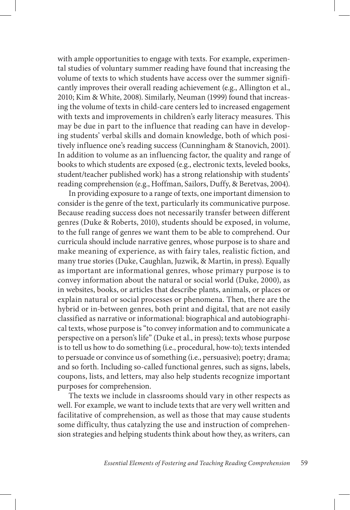with ample opportunities to engage with texts. For example, experimental studies of voluntary summer reading have found that increasing the volume of texts to which students have access over the summer significantly improves their overall reading achievement (e.g., Allington et al., 2010; Kim & White, 2008). Similarly, Neuman (1999) found that increasing the volume of texts in child-care centers led to increased engagement with texts and improvements in children's early literacy measures. This may be due in part to the influence that reading can have in developing students' verbal skills and domain knowledge, both of which positively influence one's reading success (Cunningham & Stanovich, 2001). In addition to volume as an influencing factor, the quality and range of books to which students are exposed (e.g., electronic texts, leveled books, student/teacher published work) has a strong relationship with students' reading comprehension (e.g., Hoffman, Sailors, Duffy, & Beretvas, 2004).

In providing exposure to a range of texts, one important dimension to consider is the genre of the text, particularly its communicative purpose. Because reading success does not necessarily transfer between different genres (Duke & Roberts, 2010), students should be exposed, in volume, to the full range of genres we want them to be able to comprehend. Our curricula should include narrative genres, whose purpose is to share and make meaning of experience, as with fairy tales, realistic fiction, and many true stories (Duke, Caughlan, Juzwik, & Martin, in press). Equally as important are informational genres, whose primary purpose is to convey information about the natural or social world (Duke, 2000), as in websites, books, or articles that describe plants, animals, or places or explain natural or social processes or phenomena. Then, there are the hybrid or in-between genres, both print and digital, that are not easily classified as narrative or informational: biographical and autobiographical texts, whose purpose is "to convey information and to communicate a perspective on a person's life" (Duke et al., in press); texts whose purpose is to tell us how to do something (i.e., procedural, how-to); texts intended to persuade or convince us of something (i.e., persuasive); poetry; drama; and so forth. Including so-called functional genres, such as signs, labels, coupons, lists, and letters, may also help students recognize important purposes for comprehension.

The texts we include in classrooms should vary in other respects as well. For example, we want to include texts that are very well written and facilitative of comprehension, as well as those that may cause students some difficulty, thus catalyzing the use and instruction of comprehension strategies and helping students think about how they, as writers, can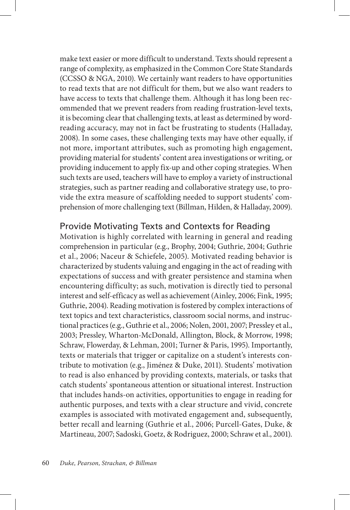make text easier or more difficult to understand. Texts should represent a range of complexity, as emphasized in the Common Core State Standards (CCSSO & NGA, 2010). We certainly want readers to have opportunities to read texts that are not difficult for them, but we also want readers to have access to texts that challenge them. Although it has long been recommended that we prevent readers from reading frustration-level texts, it is becoming clear that challenging texts, at least as determined by wordreading accuracy, may not in fact be frustrating to students (Halladay, 2008). In some cases, these challenging texts may have other equally, if not more, important attributes, such as promoting high engagement, providing material for students' content area investigations or writing, or providing inducement to apply fix-up and other coping strategies. When such texts are used, teachers will have to employ a variety of instructional strategies, such as partner reading and collaborative strategy use, to provide the extra measure of scaffolding needed to support students' comprehension of more challenging text (Billman, Hilden, & Halladay, 2009).

## Provide Motivating Texts and Contexts for Reading

Motivation is highly correlated with learning in general and reading comprehension in particular (e.g., Brophy, 2004; Guthrie, 2004; Guthrie et al., 2006; Naceur & Schiefele, 2005). Motivated reading behavior is characterized by students valuing and engaging in the act of reading with expectations of success and with greater persistence and stamina when encountering difficulty; as such, motivation is directly tied to personal interest and self-efficacy as well as achievement (Ainley, 2006; Fink, 1995; Guthrie, 2004). Reading motivation is fostered by complex interactions of text topics and text characteristics, classroom social norms, and instructional practices (e.g., Guthrie et al., 2006; Nolen, 2001, 2007; Pressley et al., 2003; Pressley, Wharton-McDonald, Allington, Block, & Morrow, 1998; Schraw, Flowerday, & Lehman, 2001; Turner & Paris, 1995). Importantly, texts or materials that trigger or capitalize on a student's interests contribute to motivation (e.g., Jiménez & Duke, 2011). Students' motivation to read is also enhanced by providing contexts, materials, or tasks that catch students' spontaneous attention or situational interest. Instruction that includes hands-on activities, opportunities to engage in reading for authentic purposes, and texts with a clear structure and vivid, concrete examples is associated with motivated engagement and, subsequently, better recall and learning (Guthrie et al., 2006; Purcell-Gates, Duke, & Martineau, 2007; Sadoski, Goetz, & Rodriguez, 2000; Schraw et al., 2001).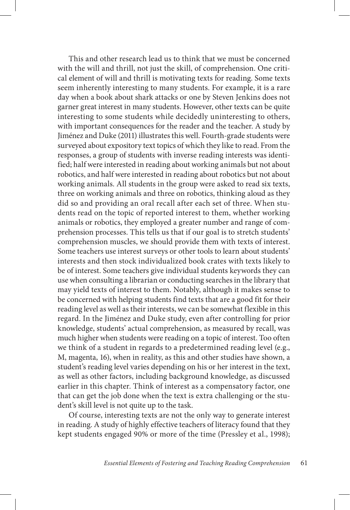This and other research lead us to think that we must be concerned with the will and thrill, not just the skill, of comprehension. One critical element of will and thrill is motivating texts for reading. Some texts seem inherently interesting to many students. For example, it is a rare day when a book about shark attacks or one by Steven Jenkins does not garner great interest in many students. However, other texts can be quite interesting to some students while decidedly uninteresting to others, with important consequences for the reader and the teacher. A study by Jiménez and Duke (2011) illustrates this well. Fourth-grade students were surveyed about expository text topics of which they like to read. From the responses, a group of students with inverse reading interests was identified; half were interested in reading about working animals but not about robotics, and half were interested in reading about robotics but not about working animals. All students in the group were asked to read six texts, three on working animals and three on robotics, thinking aloud as they did so and providing an oral recall after each set of three. When students read on the topic of reported interest to them, whether working animals or robotics, they employed a greater number and range of comprehension processes. This tells us that if our goal is to stretch students' comprehension muscles, we should provide them with texts of interest. Some teachers use interest surveys or other tools to learn about students' interests and then stock individualized book crates with texts likely to be of interest. Some teachers give individual students keywords they can use when consulting a librarian or conducting searches in the library that may yield texts of interest to them. Notably, although it makes sense to be concerned with helping students find texts that are a good fit for their reading level as well as their interests, we can be somewhat flexible in this regard. In the Jiménez and Duke study, even after controlling for prior knowledge, students' actual comprehension, as measured by recall, was much higher when students were reading on a topic of interest. Too often we think of a student in regards to a predetermined reading level (e.g., M, magenta, 16), when in reality, as this and other studies have shown, a student's reading level varies depending on his or her interest in the text, as well as other factors, including background knowledge, as discussed earlier in this chapter. Think of interest as a compensatory factor, one that can get the job done when the text is extra challenging or the student's skill level is not quite up to the task.

Of course, interesting texts are not the only way to generate interest in reading. A study of highly effective teachers of literacy found that they kept students engaged 90% or more of the time (Pressley et al., 1998);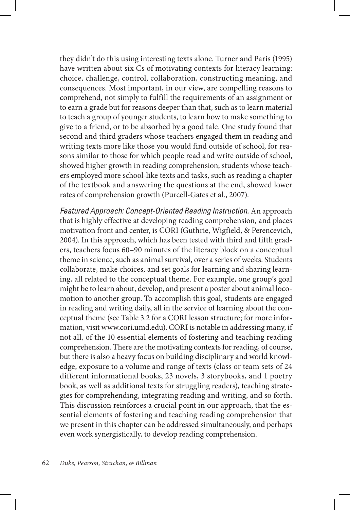they didn't do this using interesting texts alone. Turner and Paris (1995) have written about six Cs of motivating contexts for literacy learning: choice, challenge, control, collaboration, constructing meaning, and consequences. Most important, in our view, are compelling reasons to comprehend, not simply to fulfill the requirements of an assignment or to earn a grade but for reasons deeper than that, such as to learn material to teach a group of younger students, to learn how to make something to give to a friend, or to be absorbed by a good tale. One study found that second and third graders whose teachers engaged them in reading and writing texts more like those you would find outside of school, for reasons similar to those for which people read and write outside of school, showed higher growth in reading comprehension; students whose teachers employed more school-like texts and tasks, such as reading a chapter of the textbook and answering the questions at the end, showed lower rates of comprehension growth (Purcell-Gates et al., 2007).

Featured Approach: Concept-Oriented Reading Instruction. An approach that is highly effective at developing reading comprehension, and places motivation front and center, is CORI (Guthrie, Wigfield, & Perencevich, 2004). In this approach, which has been tested with third and fifth graders, teachers focus 60–90 minutes of the literacy block on a conceptual theme in science, such as animal survival, over a series of weeks. Students collaborate, make choices, and set goals for learning and sharing learning, all related to the conceptual theme. For example, one group's goal might be to learn about, develop, and present a poster about animal locomotion to another group. To accomplish this goal, students are engaged in reading and writing daily, all in the service of learning about the conceptual theme (see Table 3.2 for a CORI lesson structure; for more information, visit www.cori.umd.edu). CORI is notable in addressing many, if not all, of the 10 essential elements of fostering and teaching reading comprehension. There are the motivating contexts for reading, of course, but there is also a heavy focus on building disciplinary and world knowledge, exposure to a volume and range of texts (class or team sets of 24 different informational books, 23 novels, 3 storybooks, and 1 poetry book, as well as additional texts for struggling readers), teaching strategies for comprehending, integrating reading and writing, and so forth. This discussion reinforces a crucial point in our approach, that the essential elements of fostering and teaching reading comprehension that we present in this chapter can be addressed simultaneously, and perhaps even work synergistically, to develop reading comprehension.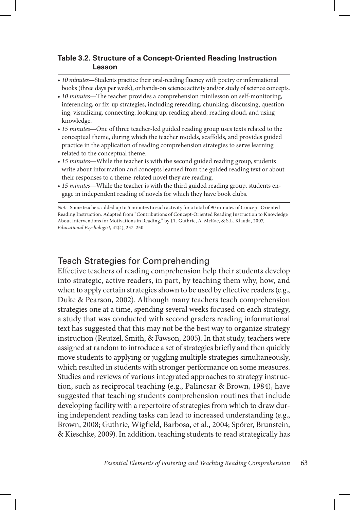#### **Table 3.2. Structure of a Concept-Oriented Reading Instruction Lesson**

- 10 minutes—Students practice their oral-reading fluency with poetry or informational books (three days per week), or hands-on science activity and/or study of science concepts.
- 10 minutes—The teacher provides a comprehension minilesson on self-monitoring, inferencing, or fix-up strategies, including rereading, chunking, discussing, questioning, visualizing, connecting, looking up, reading ahead, reading aloud, and using knowledge.
- 15 minutes—One of three teacher-led guided reading group uses texts related to the conceptual theme, during which the teacher models, scaffolds, and provides guided practice in the application of reading comprehension strategies to serve learning related to the conceptual theme.
- 15 minutes—While the teacher is with the second guided reading group, students write about information and concepts learned from the guided reading text or about their responses to a theme-related novel they are reading.
- 15 minutes—While the teacher is with the third guided reading group, students engage in independent reading of novels for which they have book clubs.

### Teach Strategies for Comprehending

Effective teachers of reading comprehension help their students develop into strategic, active readers, in part, by teaching them why, how, and when to apply certain strategies shown to be used by effective readers (e.g., Duke & Pearson, 2002). Although many teachers teach comprehension strategies one at a time, spending several weeks focused on each strategy, a study that was conducted with second graders reading informational text has suggested that this may not be the best way to organize strategy instruction (Reutzel, Smith, & Fawson, 2005). In that study, teachers were assigned at random to introduce a set of strategies briefly and then quickly move students to applying or juggling multiple strategies simultaneously, which resulted in students with stronger performance on some measures. Studies and reviews of various integrated approaches to strategy instruction, such as reciprocal teaching (e.g., Palincsar & Brown, 1984), have suggested that teaching students comprehension routines that include developing facility with a repertoire of strategies from which to draw during independent reading tasks can lead to increased understanding (e.g., Brown, 2008; Guthrie, Wigfield, Barbosa, et al., 2004; Spörer, Brunstein, & Kieschke, 2009). In addition, teaching students to read strategically has

Note. Some teachers added up to 5 minutes to each activity for a total of 90 minutes of Concept-Oriented Reading Instruction. Adapted from "Contributions of Concept-Oriented Reading Instruction to Knowledge About Interventions for Motivations in Reading," by J.T. Guthrie, A. McRae, & S.L. Klauda, 2007, Educational Psychologist, 42(4), 237–250.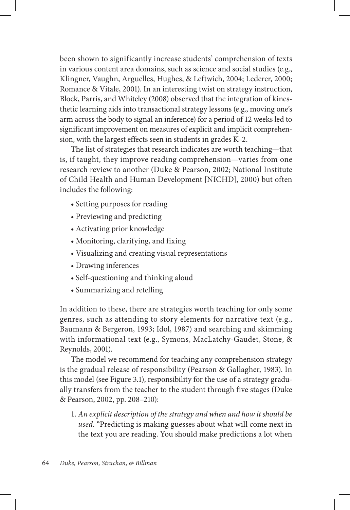been shown to significantly increase students' comprehension of texts in various content area domains, such as science and social studies (e.g., Klingner, Vaughn, Arguelles, Hughes, & Leftwich, 2004; Lederer, 2000; Romance & Vitale, 2001). In an interesting twist on strategy instruction, Block, Parris, and Whiteley (2008) observed that the integration of kinesthetic learning aids into transactional strategy lessons (e.g., moving one's arm across the body to signal an inference) for a period of 12 weeks led to significant improvement on measures of explicit and implicit comprehension, with the largest effects seen in students in grades K–2.

The list of strategies that research indicates are worth teaching—that is, if taught, they improve reading comprehension—varies from one research review to another (Duke & Pearson, 2002; National Institute of Child Health and Human Development [NICHD], 2000) but often includes the following:

- Setting purposes for reading
- Previewing and predicting
- Activating prior knowledge
- Monitoring, clarifying, and fixing
- Visualizing and creating visual representations
- Drawing inferences
- Self-questioning and thinking aloud
- Summarizing and retelling

In addition to these, there are strategies worth teaching for only some genres, such as attending to story elements for narrative text (e.g., Baumann & Bergeron, 1993; Idol, 1987) and searching and skimming with informational text (e.g., Symons, MacLatchy-Gaudet, Stone, & Reynolds, 2001).

The model we recommend for teaching any comprehension strategy is the gradual release of responsibility (Pearson & Gallagher, 1983). In this model (see Figure 3.1), responsibility for the use of a strategy gradually transfers from the teacher to the student through five stages (Duke & Pearson, 2002, pp. 208–210):

1. An explicit description of the strategy and when and how it should be used. "Predicting is making guesses about what will come next in the text you are reading. You should make predictions a lot when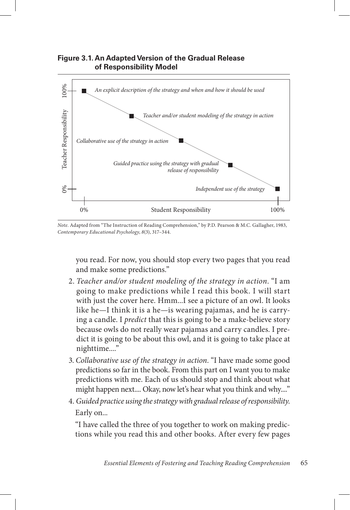



Note. Adapted from "The Instruction of Reading Comprehension," by P.D. Pearson & M.C. Gallagher, 1983,

you read. For now, you should stop every two pages that you read and make some predictions."

- 2. Teacher and/or student modeling of the strategy in action. "I am going to make predictions while I read this book. I will start with just the cover here. Hmm...I see a picture of an owl. It looks like he—I think it is a he—is wearing pajamas, and he is carrying a candle. I predict that this is going to be a make-believe story because owls do not really wear pajamas and carry candles. I predict it is going to be about this owl, and it is going to take place at nighttime...."
- 3. Collaborative use of the strategy in action. "I have made some good predictions so far in the book. From this part on I want you to make predictions with me. Each of us should stop and think about what might happen next.... Okay, now let's hear what you think and why...."
- 4. Guided practice using the strategy with gradual release of responsibility. Early on...

"I have called the three of you together to work on making predictions while you read this and other books. After every few pages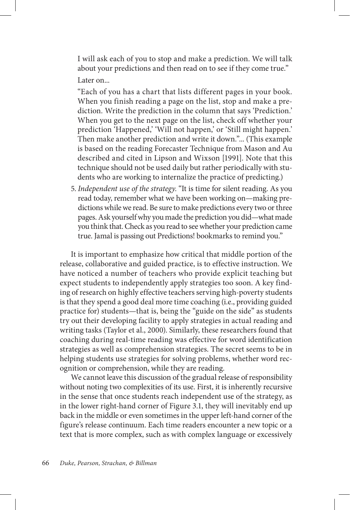I will ask each of you to stop and make a prediction. We will talk about your predictions and then read on to see if they come true." Later on...

"Each of you has a chart that lists different pages in your book. When you finish reading a page on the list, stop and make a prediction. Write the prediction in the column that says 'Prediction.' When you get to the next page on the list, check off whether your prediction 'Happened,' 'Will not happen,' or 'Still might happen.' Then make another prediction and write it down."... (This example is based on the reading Forecaster Technique from Mason and Au described and cited in Lipson and Wixson [1991]. Note that this technique should not be used daily but rather periodically with students who are working to internalize the practice of predicting.)

5. Independent use of the strategy. "It is time for silent reading. As you read today, remember what we have been working on—making predictions while we read. Be sure to make predictions every two or three pages. Ask yourself why you made the prediction you did—what made you think that. Check as you read to see whether your prediction came true. Jamal is passing out Predictions! bookmarks to remind you."

It is important to emphasize how critical that middle portion of the release, collaborative and guided practice, is to effective instruction. We have noticed a number of teachers who provide explicit teaching but expect students to independently apply strategies too soon. A key finding of research on highly effective teachers serving high-poverty students is that they spend a good deal more time coaching (i.e., providing guided practice for) students—that is, being the "guide on the side" as students try out their developing facility to apply strategies in actual reading and writing tasks (Taylor et al., 2000). Similarly, these researchers found that coaching during real-time reading was effective for word identification strategies as well as comprehension strategies. The secret seems to be in helping students use strategies for solving problems, whether word recognition or comprehension, while they are reading.

We cannot leave this discussion of the gradual release of responsibility without noting two complexities of its use. First, it is inherently recursive in the sense that once students reach independent use of the strategy, as in the lower right-hand corner of Figure 3.1, they will inevitably end up back in the middle or even sometimes in the upper left-hand corner of the figure's release continuum. Each time readers encounter a new topic or a text that is more complex, such as with complex language or excessively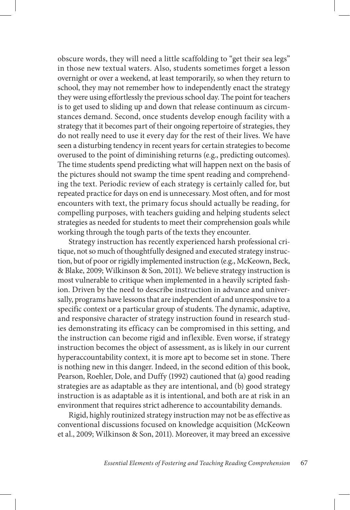obscure words, they will need a little scaffolding to "get their sea legs" in those new textual waters. Also, students sometimes forget a lesson overnight or over a weekend, at least temporarily, so when they return to school, they may not remember how to independently enact the strategy they were using effortlessly the previous school day. The point for teachers is to get used to sliding up and down that release continuum as circumstances demand. Second, once students develop enough facility with a strategy that it becomes part of their ongoing repertoire of strategies, they do not really need to use it every day for the rest of their lives. We have seen a disturbing tendency in recent years for certain strategies to become overused to the point of diminishing returns (e.g., predicting outcomes). The time students spend predicting what will happen next on the basis of the pictures should not swamp the time spent reading and comprehending the text. Periodic review of each strategy is certainly called for, but repeated practice for days on end is unnecessary. Most often, and for most encounters with text, the primary focus should actually be reading, for compelling purposes, with teachers guiding and helping students select strategies as needed for students to meet their comprehension goals while working through the tough parts of the texts they encounter.

Strategy instruction has recently experienced harsh professional critique, not so much of thoughtfully designed and executed strategy instruction, but of poor or rigidly implemented instruction (e.g., McKeown, Beck, & Blake, 2009; Wilkinson & Son, 2011). We believe strategy instruction is most vulnerable to critique when implemented in a heavily scripted fashion. Driven by the need to describe instruction in advance and universally, programs have lessons that are independent of and unresponsive to a specific context or a particular group of students. The dynamic, adaptive, and responsive character of strategy instruction found in research studies demonstrating its efficacy can be compromised in this setting, and the instruction can become rigid and inflexible. Even worse, if strategy instruction becomes the object of assessment, as is likely in our current hyperaccountability context, it is more apt to become set in stone. There is nothing new in this danger. Indeed, in the second edition of this book, Pearson, Roehler, Dole, and Duffy (1992) cautioned that (a) good reading strategies are as adaptable as they are intentional, and (b) good strategy instruction is as adaptable as it is intentional, and both are at risk in an environment that requires strict adherence to accountability demands.

Rigid, highly routinized strategy instruction may not be as effective as conventional discussions focused on knowledge acquisition (McKeown et al., 2009; Wilkinson & Son, 2011). Moreover, it may breed an excessive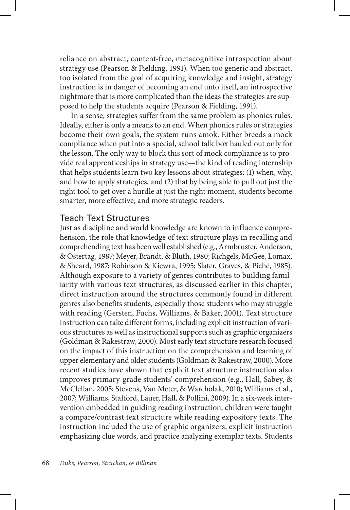reliance on abstract, content-free, metacognitive introspection about strategy use (Pearson & Fielding, 1991). When too generic and abstract, too isolated from the goal of acquiring knowledge and insight, strategy instruction is in danger of becoming an end unto itself, an introspective nightmare that is more complicated than the ideas the strategies are supposed to help the students acquire (Pearson & Fielding, 1991).

In a sense, strategies suffer from the same problem as phonics rules. Ideally, either is only a means to an end. When phonics rules or strategies become their own goals, the system runs amok. Either breeds a mock compliance when put into a special, school talk box hauled out only for the lesson. The only way to block this sort of mock compliance is to provide real apprenticeships in strategy use—the kind of reading internship that helps students learn two key lessons about strategies: (1) when, why, and how to apply strategies, and (2) that by being able to pull out just the right tool to get over a hurdle at just the right moment, students become smarter, more effective, and more strategic readers.

#### Teach Text Structures

Just as discipline and world knowledge are known to influence comprehension, the role that knowledge of text structure plays in recalling and comprehending text has been well established (e.g., Armbruster, Anderson, & Ostertag, 1987; Meyer, Brandt, & Bluth, 1980; Richgels, McGee, Lomax, & Sheard, 1987; Robinson & Kiewra, 1995; Slater, Graves, & Piché, 1985). Although exposure to a variety of genres contributes to building familiarity with various text structures, as discussed earlier in this chapter, direct instruction around the structures commonly found in different genres also benefits students, especially those students who may struggle with reading (Gersten, Fuchs, Williams, & Baker, 2001). Text structure instruction can take different forms, including explicit instruction of various structures as well as instructional supports such as graphic organizers (Goldman & Rakestraw, 2000). Most early text structure research focused on the impact of this instruction on the comprehension and learning of upper elementary and older students (Goldman & Rakestraw, 2000). More recent studies have shown that explicit text structure instruction also improves primary-grade students' comprehension (e.g., Hall, Sabey, & McClellan, 2005; Stevens, Van Meter, & Warcholak, 2010; Williams et al., 2007; Williams, Stafford, Lauer, Hall, & Pollini, 2009). In a six-week intervention embedded in guiding reading instruction, children were taught a compare/contrast text structure while reading expository texts. The instruction included the use of graphic organizers, explicit instruction emphasizing clue words, and practice analyzing exemplar texts. Students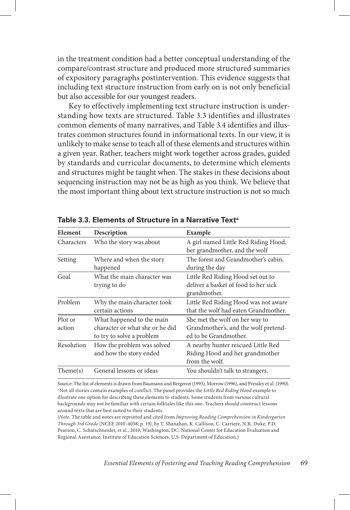in the treatment condition had a better conceptual understanding of the compare/contrast structure and produced more structured summaries of expository paragraphs postintervention. This evidence suggests that including text structure instruction from early on is not only beneficial but also accessible for our youngest readers.

Key to effectively implementing text structure instruction is understanding how texts are structured. Table 3.3 identifies and illustrates common elements of many narratives, and Table 3.4 identifies and illustrates common structures found in informational texts. In our view, it is unlikely to make sense to teach all of these elements and structures within a given year. Rather, teachers might work together across grades, guided by standards and curricular documents, to determine which elements and structures might be taught when. The stakes in these decisions about sequencing instruction may not be as high as you think. We believe that the most important thing about text structure instruction is not so much

| Element           | Description                                                                               | Example                                                                                         |
|-------------------|-------------------------------------------------------------------------------------------|-------------------------------------------------------------------------------------------------|
| Characters        | Who the story was about                                                                   | A girl named Little Red Riding Hood,<br>her grandmother, and the wolf                           |
| Setting           | Where and when the story<br>happened                                                      | The forest and Grandmother's cabin,<br>during the day                                           |
| Goal              | What the main character was<br>trying to do                                               | Little Red Riding Hood set out to<br>deliver a basket of food to her sick<br>grandmother.       |
| Problem           | Why the main character took<br>certain actions                                            | Little Red Riding Hood was not aware<br>that the wolf had eaten Grandmother.                    |
| Plot or<br>action | What happened to the main<br>character or what she or he did<br>to try to solve a problem | She met the wolf on her way to<br>Grandmother's, and the wolf pretend-<br>ed to be Grandmother. |
| Resolution        | How the problem was solved<br>and how the story ended                                     | A nearby hunter rescued Little Red<br>Riding Hood and her grandmother<br>from the wolf.         |
| Then (s)          | General lessons or ideas                                                                  | You shouldn't talk to strangers.                                                                |

#### Table 3.3. Elements of Structure in a Narrative Text<sup>a</sup>

Source: The list of elements is drawn from Baumann and Bergeron (1993), Morrow (1996), and Pressley et al. (1990). <sup>a</sup> Not all stories contain examples of conflict. The panel provides the Little Red Riding Hood example to illustrate one option for describing these elements to students. Some students from various cultural backgrounds may not be familiar with certain folktales like this one. Teachers should construct lessons around texts that are best suited to their students.

(Note. The table and notes are reprinted and cited from Improving Reading Comprehension in Kindergarten Through 3rd Grade [NCEE 2010-4038; p. 19], by T. Shanahan, K. Callison, C. Carriere, N.K. Duke, P.D. Pearson, C. Schatschneider, et al., 2010, Washington, DC: National Center for Education Evaluation and Regional Assistance, Institute of Education Sciences, U.S. Department of Education.)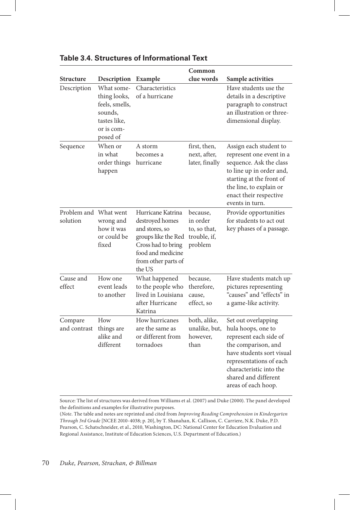|                                   |                                                                                                   |                                                                                                                                                           | Common                                                          |                                                                                                                                                                                                                              |
|-----------------------------------|---------------------------------------------------------------------------------------------------|-----------------------------------------------------------------------------------------------------------------------------------------------------------|-----------------------------------------------------------------|------------------------------------------------------------------------------------------------------------------------------------------------------------------------------------------------------------------------------|
| Structure                         | Description                                                                                       | Example                                                                                                                                                   | clue words                                                      | Sample activities                                                                                                                                                                                                            |
| Description                       | What some-<br>thing looks,<br>feels, smells,<br>sounds.<br>tastes like,<br>or is com-<br>posed of | Characteristics<br>of a hurricane                                                                                                                         |                                                                 | Have students use the<br>details in a descriptive<br>paragraph to construct<br>an illustration or three-<br>dimensional display.                                                                                             |
| Sequence                          | When or<br>in what<br>order things<br>happen                                                      | A storm<br>becomes a<br>hurricane                                                                                                                         | first, then,<br>next, after,<br>later, finally                  | Assign each student to<br>represent one event in a<br>sequence. Ask the class<br>to line up in order and,<br>starting at the front of<br>the line, to explain or<br>enact their respective<br>events in turn.                |
| Problem and What went<br>solution | wrong and<br>how it was<br>or could be<br>fixed                                                   | Hurricane Katrina<br>destroyed homes<br>and stores, so<br>groups like the Red<br>Cross had to bring<br>food and medicine<br>from other parts of<br>the US | because,<br>in order<br>to, so that,<br>trouble, if,<br>problem | Provide opportunities<br>for students to act out<br>key phases of a passage.                                                                                                                                                 |
| Cause and<br>effect               | How one<br>event leads<br>to another                                                              | What happened<br>to the people who<br>lived in Louisiana<br>after Hurricane<br>Katrina                                                                    | because,<br>therefore,<br>cause,<br>effect, so                  | Have students match up<br>pictures representing<br>"causes" and "effects" in<br>a game-like activity.                                                                                                                        |
| Compare<br>and contrast           | How<br>things are<br>alike and<br>different                                                       | How hurricanes<br>are the same as<br>or different from<br>tornadoes                                                                                       | both, alike,<br>unalike, but,<br>however,<br>than               | Set out overlapping<br>hula hoops, one to<br>represent each side of<br>the comparison, and<br>have students sort visual<br>representations of each<br>characteristic into the<br>shared and different<br>areas of each hoop. |

#### **Table 3.4. Structures of Informational Text**

Source: The list of structures was derived from Williams et al. (2007) and Duke (2000). The panel developed the definitions and examples for illustrative purposes.

<sup>(</sup>Note. The table and notes are reprinted and cited from Improving Reading Comprehension in Kindergarten Through 3rd Grade [NCEE 2010-4038; p. 20], by T. Shanahan, K. Callison, C. Carriere, N.K. Duke, P.D. Pearson, C. Schatschneider, et al., 2010, Washington, DC: National Center for Education Evaluation and Regional Assistance, Institute of Education Sciences, U.S. Department of Education.)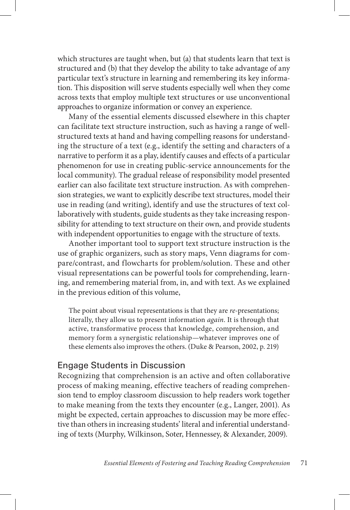which structures are taught when, but (a) that students learn that text is structured and (b) that they develop the ability to take advantage of any particular text's structure in learning and remembering its key information. This disposition will serve students especially well when they come across texts that employ multiple text structures or use unconventional approaches to organize information or convey an experience.

Many of the essential elements discussed elsewhere in this chapter can facilitate text structure instruction, such as having a range of wellstructured texts at hand and having compelling reasons for understanding the structure of a text (e.g., identify the setting and characters of a narrative to perform it as a play, identify causes and effects of a particular phenomenon for use in creating public-service announcements for the local community). The gradual release of responsibility model presented earlier can also facilitate text structure instruction. As with comprehension strategies, we want to explicitly describe text structures, model their use in reading (and writing), identify and use the structures of text collaboratively with students, guide students as they take increasing responsibility for attending to text structure on their own, and provide students with independent opportunities to engage with the structure of texts.

Another important tool to support text structure instruction is the use of graphic organizers, such as story maps, Venn diagrams for compare/contrast, and flowcharts for problem/solution. These and other visual representations can be powerful tools for comprehending, learning, and remembering material from, in, and with text. As we explained in the previous edition of this volume,

The point about visual representations is that they are re-presentations; literally, they allow us to present information *again*. It is through that active, transformative process that knowledge, comprehension, and memory form a synergistic relationship—whatever improves one of these elements also improves the others. (Duke & Pearson, 2002, p. 219)

#### Engage Students in Discussion

Recognizing that comprehension is an active and often collaborative process of making meaning, effective teachers of reading comprehension tend to employ classroom discussion to help readers work together to make meaning from the texts they encounter (e.g., Langer, 2001). As might be expected, certain approaches to discussion may be more effective than others in increasing students' literal and inferential understanding of texts (Murphy, Wilkinson, Soter, Hennessey, & Alexander, 2009).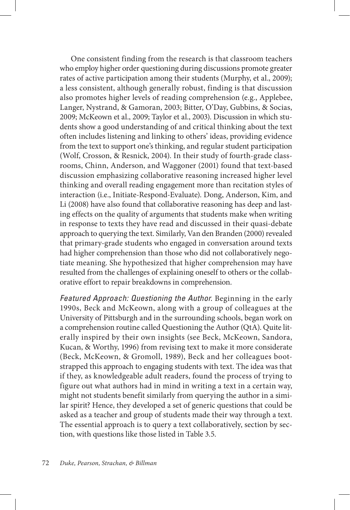One consistent finding from the research is that classroom teachers who employ higher order questioning during discussions promote greater rates of active participation among their students (Murphy, et al., 2009); a less consistent, although generally robust, finding is that discussion also promotes higher levels of reading comprehension (e.g., Applebee, Langer, Nystrand, & Gamoran, 2003; Bitter, O'Day, Gubbins, & Socias, 2009; McKeown et al., 2009; Taylor et al., 2003). Discussion in which students show a good understanding of and critical thinking about the text often includes listening and linking to others' ideas, providing evidence from the text to support one's thinking, and regular student participation (Wolf, Crosson, & Resnick, 2004). In their study of fourth-grade classrooms, Chinn, Anderson, and Waggoner (2001) found that text-based discussion emphasizing collaborative reasoning increased higher level thinking and overall reading engagement more than recitation styles of interaction (i.e., Initiate-Respond-Evaluate). Dong, Anderson, Kim, and Li (2008) have also found that collaborative reasoning has deep and lasting effects on the quality of arguments that students make when writing in response to texts they have read and discussed in their quasi-debate approach to querying the text. Similarly, Van den Branden (2000) revealed that primary-grade students who engaged in conversation around texts had higher comprehension than those who did not collaboratively negotiate meaning. She hypothesized that higher comprehension may have resulted from the challenges of explaining oneself to others or the collaborative effort to repair breakdowns in comprehension.

Featured Approach: Questioning the Author. Beginning in the early 1990s, Beck and McKeown, along with a group of colleagues at the University of Pittsburgh and in the surrounding schools, began work on a comprehension routine called Questioning the Author (QtA). Quite literally inspired by their own insights (see Beck, McKeown, Sandora, Kucan, & Worthy, 1996) from revising text to make it more considerate (Beck, McKeown, & Gromoll, 1989), Beck and her colleagues bootstrapped this approach to engaging students with text. The idea was that if they, as knowledgeable adult readers, found the process of trying to figure out what authors had in mind in writing a text in a certain way, might not students benefit similarly from querying the author in a similar spirit? Hence, they developed a set of generic questions that could be asked as a teacher and group of students made their way through a text. The essential approach is to query a text collaboratively, section by section, with questions like those listed in Table 3.5.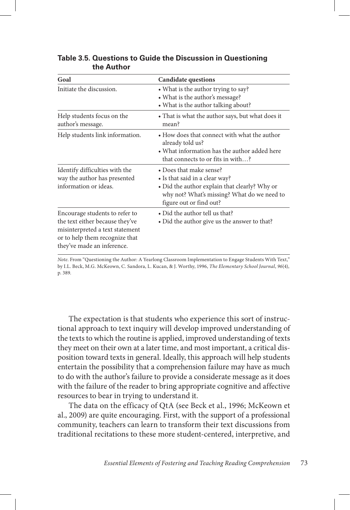| Goal                                                                                                                                                                 | <b>Candidate questions</b>                                                                                                                                                           |  |  |
|----------------------------------------------------------------------------------------------------------------------------------------------------------------------|--------------------------------------------------------------------------------------------------------------------------------------------------------------------------------------|--|--|
| Initiate the discussion.                                                                                                                                             | • What is the author trying to say?<br>• What is the author's message?<br>• What is the author talking about?                                                                        |  |  |
| Help students focus on the<br>author's message.                                                                                                                      | • That is what the author says, but what does it<br>mean?                                                                                                                            |  |  |
| Help students link information.                                                                                                                                      | • How does that connect with what the author<br>already told us?<br>• What information has the author added here<br>that connects to or fits in with?                                |  |  |
| Identify difficulties with the<br>way the author has presented<br>information or ideas.                                                                              | • Does that make sense?<br>• Is that said in a clear way?<br>• Did the author explain that clearly? Why or<br>why not? What's missing? What do we need to<br>figure out or find out? |  |  |
| Encourage students to refer to<br>the text either because they've<br>misinterpreted a text statement<br>or to help them recognize that<br>they've made an inference. | • Did the author tell us that?<br>• Did the author give us the answer to that?                                                                                                       |  |  |

**Table 3.5. Questions to Guide the Discussion in Questioning the Author**

Note. From "Questioning the Author: A Yearlong Classroom Implementation to Engage Students With Text," by I.L. Beck, M.G. McKeown, C. Sandora, L. Kucan, & J. Worthy, 1996, The Elementary School Journal, 96(4), p. 389.

The expectation is that students who experience this sort of instructional approach to text inquiry will develop improved understanding of the texts to which the routine is applied, improved understanding of texts they meet on their own at a later time, and most important, a critical disposition toward texts in general. Ideally, this approach will help students entertain the possibility that a comprehension failure may have as much to do with the author's failure to provide a considerate message as it does with the failure of the reader to bring appropriate cognitive and affective resources to bear in trying to understand it.

The data on the efficacy of QtA (see Beck et al., 1996; McKeown et al., 2009) are quite encouraging. First, with the support of a professional community, teachers can learn to transform their text discussions from traditional recitations to these more student-centered, interpretive, and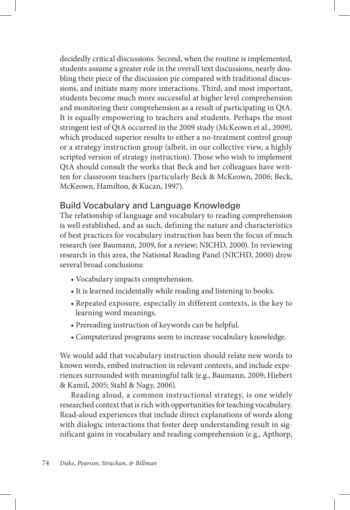decidedly critical discussions. Second, when the routine is implemented, students assume a greater role in the overall text discussions, nearly doubling their piece of the discussion pie compared with traditional discussions, and initiate many more interactions. Third, and most important, students become much more successful at higher level comprehension and monitoring their comprehension as a result of participating in QtA. It is equally empowering to teachers and students. Perhaps the most stringent test of QtA occurred in the 2009 study (McKeown et al., 2009), which produced superior results to either a no-treatment control group or a strategy instruction group (albeit, in our collective view, a highly scripted version of strategy instruction). Those who wish to implement QtA should consult the works that Beck and her colleagues have written for classroom teachers (particularly Beck & McKeown, 2006; Beck, McKeown, Hamilton, & Kucan, 1997).

## Build Vocabulary and Language Knowledge

The relationship of language and vocabulary to reading comprehension is well established, and as such, defining the nature and characteristics of best practices for vocabulary instruction has been the focus of much research (see Baumann, 2009, for a review; NICHD, 2000). In reviewing research in this area, the National Reading Panel (NICHD, 2000) drew several broad conclusions:

- Vocabulary impacts comprehension.
- It is learned incidentally while reading and listening to books.
- Repeated exposure, especially in different contexts, is the key to learning word meanings.
- Prereading instruction of keywords can be helpful.
- Computerized programs seem to increase vocabulary knowledge.

We would add that vocabulary instruction should relate new words to known words, embed instruction in relevant contexts, and include experiences surrounded with meaningful talk (e.g., Baumann, 2009; Hiebert & Kamil, 2005; Stahl & Nagy, 2006).

Reading aloud, a common instructional strategy, is one widely researched context that is rich with opportunities for teaching vocabulary. Read-aloud experiences that include direct explanations of words along with dialogic interactions that foster deep understanding result in significant gains in vocabulary and reading comprehension (e.g., Apthorp,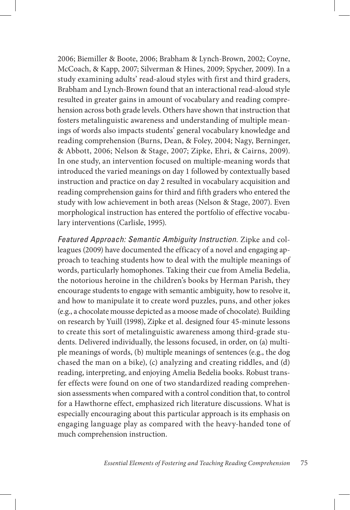2006; Biemiller & Boote, 2006; Brabham & Lynch-Brown, 2002; Coyne, McCoach, & Kapp, 2007; Silverman & Hines, 2009; Spycher, 2009). In a study examining adults' read-aloud styles with first and third graders, Brabham and Lynch-Brown found that an interactional read-aloud style resulted in greater gains in amount of vocabulary and reading comprehension across both grade levels. Others have shown that instruction that fosters metalinguistic awareness and understanding of multiple meanings of words also impacts students' general vocabulary knowledge and reading comprehension (Burns, Dean, & Foley, 2004; Nagy, Berninger, & Abbott, 2006; Nelson & Stage, 2007; Zipke, Ehri, & Cairns, 2009). In one study, an intervention focused on multiple-meaning words that introduced the varied meanings on day 1 followed by contextually based instruction and practice on day 2 resulted in vocabulary acquisition and reading comprehension gains for third and fifth graders who entered the study with low achievement in both areas (Nelson & Stage, 2007). Even morphological instruction has entered the portfolio of effective vocabulary interventions (Carlisle, 1995).

Featured Approach: Semantic Ambiguity Instruction. Zipke and colleagues (2009) have documented the efficacy of a novel and engaging approach to teaching students how to deal with the multiple meanings of words, particularly homophones. Taking their cue from Amelia Bedelia, the notorious heroine in the children's books by Herman Parish, they encourage students to engage with semantic ambiguity, how to resolve it, and how to manipulate it to create word puzzles, puns, and other jokes (e.g., a chocolate mousse depicted as a moose made of chocolate). Building on research by Yuill (1998), Zipke et al. designed four 45-minute lessons to create this sort of metalinguistic awareness among third-grade students. Delivered individually, the lessons focused, in order, on (a) multiple meanings of words, (b) multiple meanings of sentences (e.g., the dog chased the man on a bike), (c) analyzing and creating riddles, and (d) reading, interpreting, and enjoying Amelia Bedelia books. Robust transfer effects were found on one of two standardized reading comprehension assessments when compared with a control condition that, to control for a Hawthorne effect, emphasized rich literature discussions. What is especially encouraging about this particular approach is its emphasis on engaging language play as compared with the heavy-handed tone of much comprehension instruction.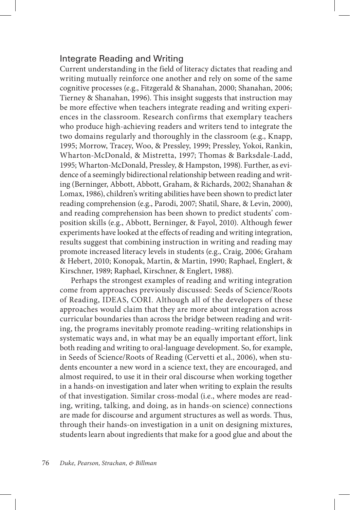### Integrate Reading and Writing

Current understanding in the field of literacy dictates that reading and writing mutually reinforce one another and rely on some of the same cognitive processes (e.g., Fitzgerald & Shanahan, 2000; Shanahan, 2006; Tierney & Shanahan, 1996). This insight suggests that instruction may be more effective when teachers integrate reading and writing experiences in the classroom. Research confirms that exemplary teachers who produce high-achieving readers and writers tend to integrate the two domains regularly and thoroughly in the classroom (e.g., Knapp, 1995; Morrow, Tracey, Woo, & Pressley, 1999; Pressley, Yokoi, Rankin, Wharton-McDonald, & Mistretta, 1997; Thomas & Barksdale-Ladd, 1995; Wharton-McDonald, Pressley, & Hampston, 1998). Further, as evidence of a seemingly bidirectional relationship between reading and writing (Berninger, Abbott, Abbott, Graham, & Richards, 2002; Shanahan & Lomax, 1986), children's writing abilities have been shown to predict later reading comprehension (e.g., Parodi, 2007; Shatil, Share, & Levin, 2000), and reading comprehension has been shown to predict students' composition skills (e.g., Abbott, Berninger, & Fayol, 2010). Although fewer experiments have looked at the effects of reading and writing integration, results suggest that combining instruction in writing and reading may promote increased literacy levels in students (e.g., Craig, 2006; Graham & Hebert, 2010; Konopak, Martin, & Martin, 1990; Raphael, Englert, & Kirschner, 1989; Raphael, Kirschner, & Englert, 1988).

Perhaps the strongest examples of reading and writing integration come from approaches previously discussed: Seeds of Science/Roots of Reading, IDEAS, CORI. Although all of the developers of these approaches would claim that they are more about integration across curricular boundaries than across the bridge between reading and writing, the programs inevitably promote reading–writing relationships in systematic ways and, in what may be an equally important effort, link both reading and writing to oral-language development. So, for example, in Seeds of Science/Roots of Reading (Cervetti et al., 2006), when students encounter a new word in a science text, they are encouraged, and almost required, to use it in their oral discourse when working together in a hands-on investigation and later when writing to explain the results of that investigation. Similar cross-modal (i.e., where modes are reading, writing, talking, and doing, as in hands-on science) connections are made for discourse and argument structures as well as words. Thus, through their hands-on investigation in a unit on designing mixtures, students learn about ingredients that make for a good glue and about the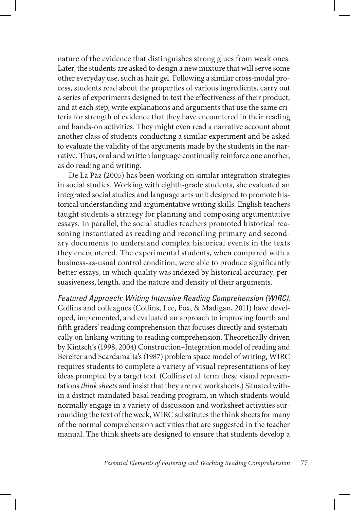nature of the evidence that distinguishes strong glues from weak ones. Later, the students are asked to design a new mixture that will serve some other everyday use, such as hair gel. Following a similar cross-modal process, students read about the properties of various ingredients, carry out a series of experiments designed to test the effectiveness of their product, and at each step, write explanations and arguments that use the same criteria for strength of evidence that they have encountered in their reading and hands-on activities. They might even read a narrative account about another class of students conducting a similar experiment and be asked to evaluate the validity of the arguments made by the students in the narrative. Thus, oral and written language continually reinforce one another, as do reading and writing.

De La Paz (2005) has been working on similar integration strategies in social studies. Working with eighth-grade students, she evaluated an integrated social studies and language arts unit designed to promote historical understanding and argumentative writing skills. English teachers taught students a strategy for planning and composing argumentative essays. In parallel, the social studies teachers promoted historical reasoning instantiated as reading and reconciling primary and secondary documents to understand complex historical events in the texts they encountered. The experimental students, when compared with a business-as-usual control condition, were able to produce significantly better essays, in which quality was indexed by historical accuracy, persuasiveness, length, and the nature and density of their arguments.

Featured Approach: Writing Intensive Reading Comprehension (WIRC). Collins and colleagues (Collins, Lee, Fox, & Madigan, 2011) have developed, implemented, and evaluated an approach to improving fourth and fifth graders' reading comprehension that focuses directly and systematically on linking writing to reading comprehension. Theoretically driven by Kintsch's (1998, 2004) Construction–Integration model of reading and Bereiter and Scardamalia's (1987) problem space model of writing, WIRC requires students to complete a variety of visual representations of key ideas prompted by a target text. (Collins et al. term these visual representations think sheets and insist that they are not worksheets.) Situated within a district-mandated basal reading program, in which students would normally engage in a variety of discussion and worksheet activities surrounding the text of the week, WIRC substitutes the think sheets for many of the normal comprehension activities that are suggested in the teacher manual. The think sheets are designed to ensure that students develop a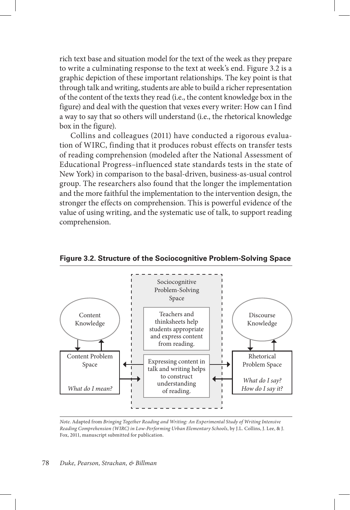rich text base and situation model for the text of the week as they prepare to write a culminating response to the text at week's end. Figure 3.2 is a graphic depiction of these important relationships. The key point is that through talk and writing, students are able to build a richer representation of the content of the texts they read (i.e., the content knowledge box in the figure) and deal with the question that vexes every writer: How can I find a way to say that so others will understand (i.e., the rhetorical knowledge box in the figure).

Collins and colleagues (2011) have conducted a rigorous evaluation of WIRC, finding that it produces robust effects on transfer tests of reading comprehension (modeled after the National Assessment of Educational Progress–influenced state standards tests in the state of New York) in comparison to the basal-driven, business-as-usual control group. The researchers also found that the longer the implementation and the more faithful the implementation to the intervention design, the stronger the effects on comprehension. This is powerful evidence of the value of using writing, and the systematic use of talk, to support reading comprehension.



**Figure 3.2. Structure of the Sociocognitive Problem-Solving Space**

Note. Adapted from Bringing Together Reading and Writing: An Experimental Study of Writing Intensive Reading Comprehension (WIRC) in Low-Performing Urban Elementary Schools, by J.L. Collins, J. Lee, & J. Fox, 2011, manuscript submitted for publication.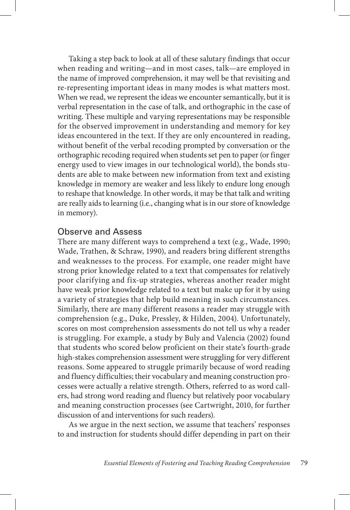Taking a step back to look at all of these salutary findings that occur when reading and writing—and in most cases, talk—are employed in the name of improved comprehension, it may well be that revisiting and re-representing important ideas in many modes is what matters most. When we read, we represent the ideas we encounter semantically, but it is verbal representation in the case of talk, and orthographic in the case of writing. These multiple and varying representations may be responsible for the observed improvement in understanding and memory for key ideas encountered in the text. If they are only encountered in reading, without benefit of the verbal recoding prompted by conversation or the orthographic recoding required when students set pen to paper (or finger energy used to view images in our technological world), the bonds students are able to make between new information from text and existing knowledge in memory are weaker and less likely to endure long enough to reshape that knowledge. In other words, it may be that talk and writing are really aids to learning (i.e., changing what is in our store of knowledge in memory).

#### Observe and Assess

There are many different ways to comprehend a text (e.g., Wade, 1990; Wade, Trathen, & Schraw, 1990), and readers bring different strengths and weaknesses to the process. For example, one reader might have strong prior knowledge related to a text that compensates for relatively poor clarifying and fix-up strategies, whereas another reader might have weak prior knowledge related to a text but make up for it by using a variety of strategies that help build meaning in such circumstances. Similarly, there are many different reasons a reader may struggle with comprehension (e.g., Duke, Pressley, & Hilden, 2004). Unfortunately, scores on most comprehension assessments do not tell us why a reader is struggling. For example, a study by Buly and Valencia (2002) found that students who scored below proficient on their state's fourth-grade high-stakes comprehension assessment were struggling for very different reasons. Some appeared to struggle primarily because of word reading and fluency difficulties; their vocabulary and meaning construction processes were actually a relative strength. Others, referred to as word callers, had strong word reading and fluency but relatively poor vocabulary and meaning construction processes (see Cartwright, 2010, for further discussion of and interventions for such readers).

As we argue in the next section, we assume that teachers' responses to and instruction for students should differ depending in part on their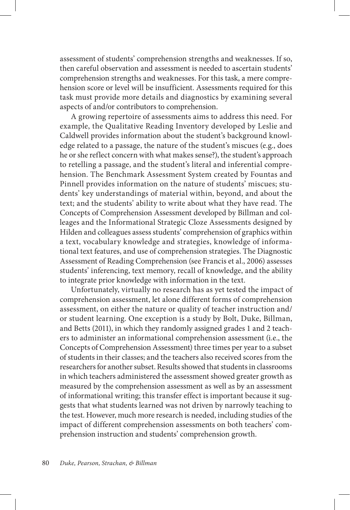assessment of students' comprehension strengths and weaknesses. If so, then careful observation and assessment is needed to ascertain students' comprehension strengths and weaknesses. For this task, a mere comprehension score or level will be insufficient. Assessments required for this task must provide more details and diagnostics by examining several aspects of and/or contributors to comprehension.

A growing repertoire of assessments aims to address this need. For example, the Qualitative Reading Inventory developed by Leslie and Caldwell provides information about the student's background knowledge related to a passage, the nature of the student's miscues (e.g., does he or she reflect concern with what makes sense?), the student's approach to retelling a passage, and the student's literal and inferential comprehension. The Benchmark Assessment System created by Fountas and Pinnell provides information on the nature of students' miscues; students' key understandings of material within, beyond, and about the text; and the students' ability to write about what they have read. The Concepts of Comprehension Assessment developed by Billman and colleages and the Informational Strategic Cloze Assessments designed by Hilden and colleagues assess students' comprehension of graphics within a text, vocabulary knowledge and strategies, knowledge of informational text features, and use of comprehension strategies. The Diagnostic Assessment of Reading Comprehension (see Francis et al., 2006) assesses students' inferencing, text memory, recall of knowledge, and the ability to integrate prior knowledge with information in the text.

Unfortunately, virtually no research has as yet tested the impact of comprehension assessment, let alone different forms of comprehension assessment, on either the nature or quality of teacher instruction and/ or student learning. One exception is a study by Bolt, Duke, Billman, and Betts (2011), in which they randomly assigned grades 1 and 2 teachers to administer an informational comprehension assessment (i.e., the Concepts of Comprehension Assessment) three times per year to a subset of students in their classes; and the teachers also received scores from the researchers for another subset. Results showed that students in classrooms in which teachers administered the assessment showed greater growth as measured by the comprehension assessment as well as by an assessment of informational writing; this transfer effect is important because it suggests that what students learned was not driven by narrowly teaching to the test. However, much more research is needed, including studies of the impact of different comprehension assessments on both teachers' comprehension instruction and students' comprehension growth.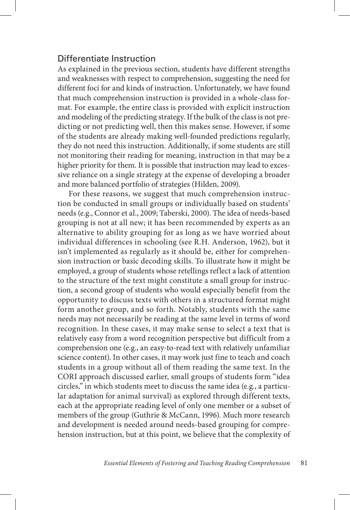### Differentiate Instruction

As explained in the previous section, students have different strengths and weaknesses with respect to comprehension, suggesting the need for different foci for and kinds of instruction. Unfortunately, we have found that much comprehension instruction is provided in a whole-class format. For example, the entire class is provided with explicit instruction and modeling of the predicting strategy. If the bulk of the class is not predicting or not predicting well, then this makes sense. However, if some of the students are already making well-founded predictions regularly, they do not need this instruction. Additionally, if some students are still not monitoring their reading for meaning, instruction in that may be a higher priority for them. It is possible that instruction may lead to excessive reliance on a single strategy at the expense of developing a broader and more balanced portfolio of strategies (Hilden, 2009).

For these reasons, we suggest that much comprehension instruction be conducted in small groups or individually based on students' needs (e.g., Connor et al., 2009; Taberski, 2000). The idea of needs-based grouping is not at all new; it has been recommended by experts as an alternative to ability grouping for as long as we have worried about individual differences in schooling (see R.H. Anderson, 1962), but it isn't implemented as regularly as it should be, either for comprehension instruction or basic decoding skills. To illustrate how it might be employed, a group of students whose retellings reflect a lack of attention to the structure of the text might constitute a small group for instruction, a second group of students who would especially benefit from the opportunity to discuss texts with others in a structured format might form another group, and so forth. Notably, students with the same needs may not necessarily be reading at the same level in terms of word recognition. In these cases, it may make sense to select a text that is relatively easy from a word recognition perspective but difficult from a comprehension one (e.g., an easy-to-read text with relatively unfamiliar science content). In other cases, it may work just fine to teach and coach students in a group without all of them reading the same text. In the CORI approach discussed earlier, small groups of students form "idea circles," in which students meet to discuss the same idea (e.g., a particular adaptation for animal survival) as explored through different texts, each at the appropriate reading level of only one member or a subset of members of the group (Guthrie & McCann, 1996). Much more research and development is needed around needs-based grouping for comprehension instruction, but at this point, we believe that the complexity of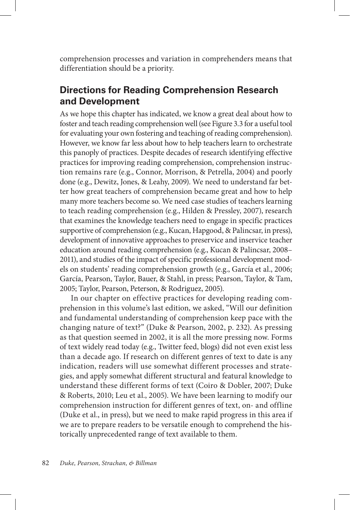comprehension processes and variation in comprehenders means that differentiation should be a priority.

# **Directions for Reading Comprehension Research and Development**

As we hope this chapter has indicated, we know a great deal about how to foster and teach reading comprehension well (see Figure 3.3 for a useful tool for evaluating your own fostering and teaching of reading comprehension). However, we know far less about how to help teachers learn to orchestrate this panoply of practices. Despite decades of research identifying effective practices for improving reading comprehension, comprehension instruction remains rare (e.g., Connor, Morrison, & Petrella, 2004) and poorly done (e.g., Dewitz, Jones, & Leahy, 2009). We need to understand far better how great teachers of comprehension became great and how to help many more teachers become so. We need case studies of teachers learning to teach reading comprehension (e.g., Hilden & Pressley, 2007), research that examines the knowledge teachers need to engage in specific practices supportive of comprehension (e.g., Kucan, Hapgood, & Palincsar, in press), development of innovative approaches to preservice and inservice teacher education around reading comprehension (e.g., Kucan & Palincsar, 2008– 2011), and studies of the impact of specific professional development models on students' reading comprehension growth (e.g., García et al., 2006; García, Pearson, Taylor, Bauer, & Stahl, in press; Pearson, Taylor, & Tam, 2005; Taylor, Pearson, Peterson, & Rodriguez, 2005).

In our chapter on effective practices for developing reading comprehension in this volume's last edition, we asked, "Will our definition and fundamental understanding of comprehension keep pace with the changing nature of text?" (Duke & Pearson, 2002, p. 232). As pressing as that question seemed in 2002, it is all the more pressing now. Forms of text widely read today (e.g., Twitter feed, blogs) did not even exist less than a decade ago. If research on different genres of text to date is any indication, readers will use somewhat different processes and strategies, and apply somewhat different structural and featural knowledge to understand these different forms of text (Coiro & Dobler, 2007; Duke & Roberts, 2010; Leu et al., 2005). We have been learning to modify our comprehension instruction for different genres of text, on- and offline (Duke et al., in press), but we need to make rapid progress in this area if we are to prepare readers to be versatile enough to comprehend the historically unprecedented range of text available to them.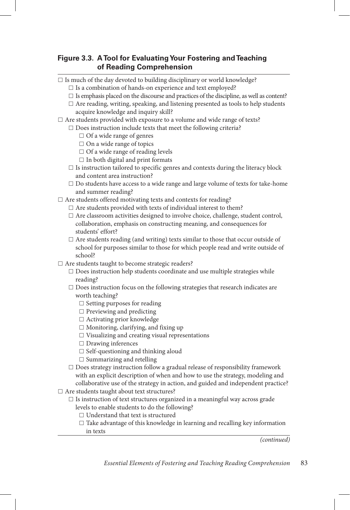#### **Figure 3.3. A Tool for Evaluating Your Fostering and Teaching of Reading Comprehension**

 $\square$  Is much of the day devoted to building disciplinary or world knowledge?

- □ Is a combination of hands-on experience and text employed?
- $\square$  Is emphasis placed on the discourse and practices of the discipline, as well as content?
- $\square$  Are reading, writing, speaking, and listening presented as tools to help students acquire knowledge and inquiry skill?
- $\square$  Are students provided with exposure to a volume and wide range of texts?
	- $\square$  Does instruction include texts that meet the following criteria?
		- $\Box$  Of a wide range of genres
		- □ On a wide range of topics
		- $\Box$  Of a wide range of reading levels
		- □ In both digital and print formats
	- $\square$  Is instruction tailored to specific genres and contexts during the literacy block and content area instruction?
	- $\square$  Do students have access to a wide range and large volume of texts for take-home and summer reading?
- □ Are students offered motivating texts and contexts for reading?
	- $\square$  Are students provided with texts of individual interest to them?
	- $\square$  Are classroom activities designed to involve choice, challenge, student control, collaboration, emphasis on constructing meaning, and consequences for students' effort?
	- $\square$  Are students reading (and writing) texts similar to those that occur outside of school for purposes similar to those for which people read and write outside of school?
- $\square$  Are students taught to become strategic readers?
	- $\square$  Does instruction help students coordinate and use multiple strategies while reading?
	- $\square$  Does instruction focus on the following strategies that research indicates are worth teaching?
		- □ Setting purposes for reading
		- □ Previewing and predicting
		- $\Box$  Activating prior knowledge
		- □ Monitoring, clarifying, and fixing up
		- □ Visualizing and creating visual representations
		- □ Drawing inferences
		- $\square$  Self-questioning and thinking aloud
		- $\square$  Summarizing and retelling
	- $\square$  Does strategy instruction follow a gradual release of responsibility framework with an explicit description of when and how to use the strategy, modeling and collaborative use of the strategy in action, and guided and independent practice?
- □ Are students taught about text structures?
	- $\square$  Is instruction of text structures organized in a meaningful way across grade levels to enable students to do the following?
		- □ Understand that text is structured
		- $\Box$  Take advantage of this knowledge in learning and recalling key information in texts

(continued)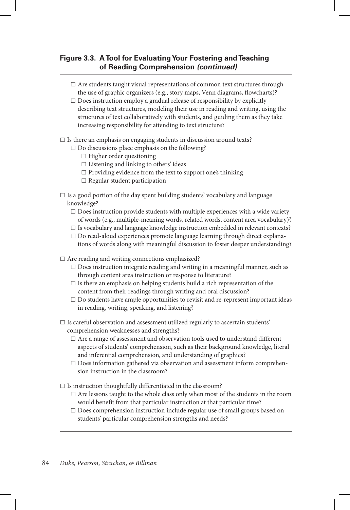#### **Figure 3.3. A Tool for Evaluating Your Fostering and Teaching of Reading Comprehension (continued)**

- $\square$  Are students taught visual representations of common text structures through the use of graphic organizers (e.g., story maps, Venn diagrams, flowcharts)?
- $\square$  Does instruction employ a gradual release of responsibility by explicitly describing text structures, modeling their use in reading and writing, using the structures of text collaboratively with students, and guiding them as they take increasing responsibility for attending to text structure?
- $\square$  Is there an emphasis on engaging students in discussion around texts?
	- $\square$  Do discussions place emphasis on the following?
		- □ Higher order questioning
		- □ Listening and linking to others' ideas
		- □ Providing evidence from the text to support one's thinking
		- $\square$  Regular student participation
- $\square$  Is a good portion of the day spent building students' vocabulary and language knowledge?
	- $\square$  Does instruction provide students with multiple experiences with a wide variety of words (e.g., multiple-meaning words, related words, content area vocabulary)?
	- $\square$  Is vocabulary and language knowledge instruction embedded in relevant contexts?
	- $\square$  Do read-aloud experiences promote language learning through direct explanations of words along with meaningful discussion to foster deeper understanding?
- □ Are reading and writing connections emphasized?
	- $\square$  Does instruction integrate reading and writing in a meaningful manner, such as through content area instruction or response to literature?
	- $\square$  Is there an emphasis on helping students build a rich representation of the content from their readings through writing and oral discussion?
	- $\square$  Do students have ample opportunities to revisit and re-represent important ideas in reading, writing, speaking, and listening?
- $\square$  Is careful observation and assessment utilized regularly to ascertain students' comprehension weaknesses and strengths?
	- $\square$  <br> Are a range of assessment and observation tools used to understand different aspects of students' comprehension, such as their background knowledge, literal and inferential comprehension, and understanding of graphics?
	- $\square$  Does information gathered via observation and assessment inform comprehension instruction in the classroom?
- $\square$  Is instruction thoughtfully differentiated in the classroom?
	- $\square$  Are lessons taught to the whole class only when most of the students in the room would benefit from that particular instruction at that particular time?
	- $\square$  Does comprehension instruction include regular use of small groups based on students' particular comprehension strengths and needs?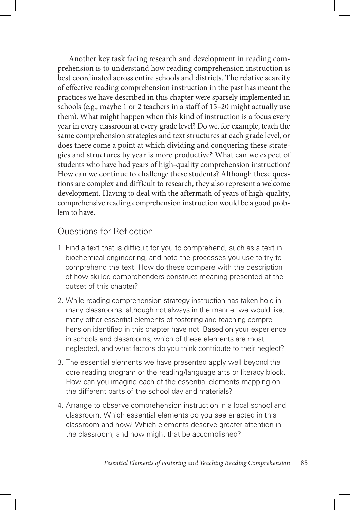Another key task facing research and development in reading comprehension is to understand how reading comprehension instruction is best coordinated across entire schools and districts. The relative scarcity of effective reading comprehension instruction in the past has meant the practices we have described in this chapter were sparsely implemented in schools (e.g., maybe 1 or 2 teachers in a staff of 15–20 might actually use them). What might happen when this kind of instruction is a focus every year in every classroom at every grade level? Do we, for example, teach the same comprehension strategies and text structures at each grade level, or does there come a point at which dividing and conquering these strategies and structures by year is more productive? What can we expect of students who have had years of high-quality comprehension instruction? How can we continue to challenge these students? Although these questions are complex and difficult to research, they also represent a welcome development. Having to deal with the aftermath of years of high-quality, comprehensive reading comprehension instruction would be a good problem to have.

#### Questions for Reflection

- 1. Find a text that is difficult for you to comprehend, such as a text in biochemical engineering, and note the processes you use to try to comprehend the text. How do these compare with the description of how skilled comprehenders construct meaning presented at the outset of this chapter?
- 2. While reading comprehension strategy instruction has taken hold in many classrooms, although not always in the manner we would like, many other essential elements of fostering and teaching comprehension identified in this chapter have not. Based on your experience in schools and classrooms, which of these elements are most neglected, and what factors do you think contribute to their neglect?
- 3. The essential elements we have presented apply well beyond the core reading program or the reading/language arts or literacy block. How can you imagine each of the essential elements mapping on the different parts of the school day and materials?
- 4. Arrange to observe comprehension instruction in a local school and classroom. Which essential elements do you see enacted in this classroom and how? Which elements deserve greater attention in the classroom, and how might that be accomplished?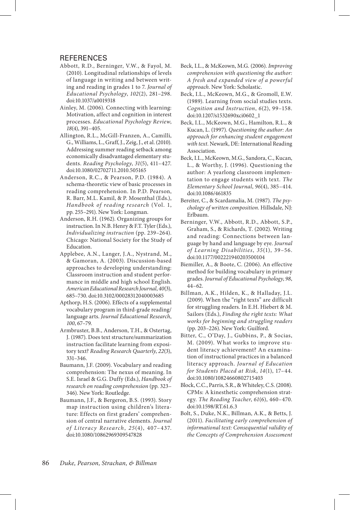#### REFERENCES

- Abbott, R.D., Berninger, V.W., & Fayol, M. (2010). Longitudinal relationships of levels of language in writing and between writing and reading in grades 1 to 7. Journal of Educational Psychology, 102(2), 281–298. doi:10.1037/a0019318
- Ainley, M. (2006). Connecting with learning: Motivation, affect and cognition in interest processes. Educational Psychology Review, 18(4), 391–405.
- Allington, R.L., McGill-Franzen, A., Camilli, G., Williams, L., Graff, J., Zeig, J., et al. (2010). Addressing summer reading setback among economically disadvantaged elementary students. Reading Psychology, 31(5), 411–427. doi:10.1080/02702711.2010.505165
- Anderson, R.C., & Pearson, P.D. (1984). A schema-theoretic view of basic processes in reading comprehension. In P.D. Pearson, R. Barr, M.L. Kamil, & P. Mosenthal (Eds.), Handbook of reading research (Vol. 1, pp. 255–291). New York: Longman.
- Anderson, R.H. (1962). Organizing groups for instruction. In N.B. Henry & F.T. Tyler (Eds.), Individualizing instruction (pp. 239–264). Chicago: National Society for the Study of Education.
- Applebee, A.N., Langer, J.A., Nystrand, M., & Gamoran, A. (2003). Discussion-based approaches to developing understanding: Classroom instruction and student performance in middle and high school English. American Educational Research Journal, 40(3), 685–730. doi:10.3102/00028312040003685
- Apthorp, H.S. (2006). Effects of a supplemental vocabulary program in third-grade reading/ language arts. Journal Educational Research, 100, 67–79.
- Armbruster, B.B., Anderson, T.H., & Ostertag, J. (1987). Does text structure/summarization instruction facilitate learning from expository text? Reading Research Quarterly, 22(3), 331–346.
- Baumann, J.F. (2009). Vocabulary and reading comprehension: The nexus of meaning. In S.E. Israel & G.G. Duffy (Eds.), Handbook of research on reading comprehension (pp. 323– 346). New York: Routledge.
- Baumann, J.F., & Bergeron, B.S. (1993). Story map instruction using children's literature: Effects on first graders' comprehension of central narrative elements. Journal of Literacy Research, 25(4), 407– 437. doi:10.1080/10862969309547828
- Beck, I.L., & McKeown, M.G. (2006). Improving comprehension with questioning the author: A fresh and expanded view of a powerful approach. New York: Scholastic.
- Beck, I.L., McKeown, M.G., & Gromoll, E.W. (1989). Learning from social studies texts. Cognition and Instruction, 6(2), 99–158. doi:10.1207/s1532690xci0602\_1
- Beck, I.L., McKeown, M.G., Hamilton, R.L., & Kucan, L. (1997). Questioning the author: An approach for enhancing student engagement with text. Newark, DE: International Reading Association.
- Beck, I.L., McKeown, M.G., Sandora, C., Kucan, L., & Worthy, J. (1996). Questioning the author: A yearlong classroom implementation to engage students with text. The Elementary School Journal, 96(4), 385–414. doi:10.1086/461835
- Bereiter, C., & Scardamalia, M. (1987). The psychology of written composition. Hillsdale, NJ: Erlbaum.
- Berninger, V.W., Abbott, R.D., Abbott, S.P., Graham, S., & Richards, T. (2002). Writing and reading: Connections between language by hand and language by eye. Journal of Learning Disabilities, 35(1), 39–56. doi:10.1177/002221940203500104
- Biemiller, A., & Boote, C. (2006). An effective method for building vocabulary in primary grades. Journal of Educational Psychology, 98, 44–62.
- Billman, A.K., Hilden, K., & Halladay, J.L. (2009). When the "right texts" are difficult for struggling readers. In E.H. Hiebert & M. Sailors (Eds.), Finding the right texts: What works for beginning and struggling readers (pp. 203–226). New York: Guilford.
- Bitter, C., O'Day, J., Gubbins, P., & Socias, M. (2009). What works to improve student literacy achievement? An examination of instructional practices in a balanced literacy approach. Journal of Education for Students Placed at Risk, 14(1), 17–44. doi:10.1080/10824660802715403
- Block, C.C., Parris, S.R., & Whiteley, C.S. (2008). CPMs: A kinesthetic comprehension strategy. The Reading Teacher, 61(6), 460–470. doi:10.1598/RT.61.6.3
- Bolt, S., Duke, N.K., Billman, A.K., & Betts, J. (2011). Facilitating early comprehension of informational text: Consequential validity of the Concepts of Comprehension Assessment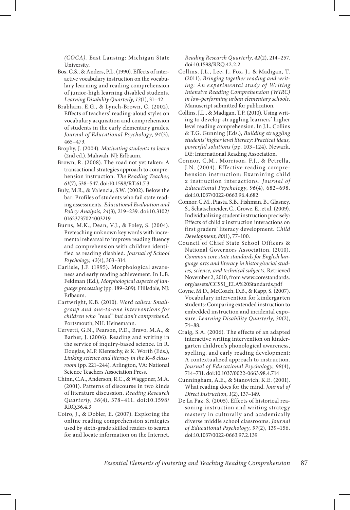(COCA). East Lansing: Michigan State University.

- Bos, C.S., & Anders, P.L. (1990). Effects of interactive vocabulary instruction on the vocabulary learning and reading comprehension of junior-high learning disabled students. Learning Disability Quarterly, 13(1), 31–42.
- Brabham, E.G., & Lynch-Brown, C. (2002). Effects of teachers' reading-aloud styles on vocabulary acquisition and comprehension of students in the early elementary grades. Journal of Educational Psychology, 94(3), 465–473.
- Brophy, J. (2004). Motivating students to learn (2nd ed.). Mahwah, NJ: Erlbaum.
- Brown, R. (2008). The road not yet taken: A transactional strategies approach to comprehension instruction. The Reading Teacher, 61(7), 538–547. doi:10.1598/RT.61.7.3
- Buly, M.R., & Valencia, S.W. (2002). Below the bar: Profiles of students who fail state reading assessments. Educational Evaluation and Policy Analysis, 24(3), 219–239. doi:10.3102/ 01623737024003219
- Burns, M.K., Dean, V.J., & Foley, S. (2004). Preteaching unknown key words with incremental rehearsal to improve reading fluency and comprehension with children identified as reading disabled. Journal of School Psychology, 42(4), 303–314.
- Carlisle, J.F. (1995). Morphological awareness and early reading achievement. In L.B. Feldman (Ed.), Morphological aspects of language processing (pp. 189–209). Hillsdale, NJ: Erlbaum.
- Cartwright, K.B. (2010). Word callers: Smallgroup and one-to-one interventions for children who "read" but don't comprehend. Portsmouth, NH: Heinemann.
- Cervetti, G.N., Pearson, P.D., Bravo, M.A., & Barber, J. (2006). Reading and writing in the service of inquiry-based science. In R. Douglas, M.P. Klentschy, & K. Worth (Eds.), Linking science and literacy in the K–8 classroom (pp. 221–244). Arlington, VA: National Science Teachers Association Press.
- Chinn, C.A., Anderson, R.C., & Waggoner, M.A. (2001). Patterns of discourse in two kinds of literature discussion. Reading Research Quarterly, 36(4), 378–411. doi:10.1598/ RRQ.36.4.3
- Coiro, J., & Dobler, E. (2007). Exploring the online reading comprehension strategies used by sixth-grade skilled readers to search for and locate information on the Internet.

Reading Research Quarterly, 42(2), 214–257. doi:10.1598/RRQ.42.2.2

- Collins, J.L., Lee, J., Fox, J., & Madigan, T. (2011). Bringing together reading and writing: An experimental study of Writing Intensive Reading Comprehension (WIRC) in low-performing urban elementary schools. Manuscript submitted for publication.
- Collins, J.L., & Madigan, T.P. (2010). Using writing to develop struggling learners' higher level reading comprehension. In J.L. Collins & T.G. Gunning (Eds.), Building struggling students' higher level literacy: Practical ideas, powerful solutions (pp. 103–124). Newark, DE: International Reading Association.
- Connor, C.M., Morrison, F.J., & Petrella, J.N. (2004). Effective reading comprehension instruction: Examining child x instruction interactions. Journal of Educational Psychology, 96(4), 682–698. doi:10.1037/0022-0663.96.4.682
- Connor, C.M., Piasta, S.B., Fishman, B., Glasney, S., Schatschneider, C., Crowe, E., et al. (2009). Individualizing student instruction precisely: Effects of child x instruction interactions on first graders' literacy development. Child Development, 80(1), 77–100.
- Council of Chief State School Officers & National Governors Association. (2010). Common core state standards for English language arts and literacy in history/social studies, science, and technical subjects. Retrieved November 2, 2010, from www.corestandards. org/assets/CCSSI\_ELA%20Standards.pdf
- Coyne, M.D., McCoach, D.B., & Kapp, S. (2007). Vocabulary intervention for kindergarten students: Comparing extended instruction to embedded instruction and incidental exposure. Learning Disability Quarterly, 30(2), 74–88.
- Craig, S.A. (2006). The effects of an adapted interactive writing intervention on kindergarten children's phonological awareness, spelling, and early reading development: A contextualized approach to instruction. Journal of Educational Psychology, 98(4), 714–731. doi:10.1037/0022-0663.98.4.714
- Cunningham, A.E., & Stanovich, K.E. (2001). What reading does for the mind. Journal of Direct Instruction, 1(2), 137–149.
- De La Paz, S. (2005). Effects of historical reasoning instruction and writing strategy mastery in culturally and academically diverse middle school classrooms. Journal of Educational Psychology, 97(2), 139–156. doi:10.1037/0022-0663.97.2.139

Essential Elements of Fostering and Teaching Reading Comprehension 87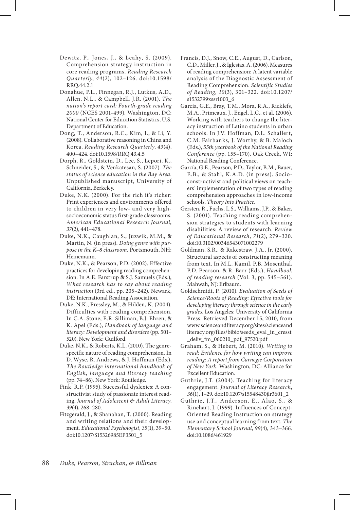- Dewitz, P., Jones, J., & Leahy, S. (2009). Comprehension strategy instruction in core reading programs. Reading Research Quarterly, 44(2), 102–126. doi:10.1598/ RRQ.44.2.1
- Donahue, P.L., Finnegan, R.J., Lutkus, A.D., Allen, N.L., & Campbell, J.R. (2001). The nation's report card: Fourth-grade reading 2000 (NCES 2001-499). Washington, DC: National Center for Education Statistics, U.S. Department of Education.
- Dong, T., Anderson, R.C., Kim, I., & Li, Y. (2008). Collaborative reasoning in China and Korea. Reading Research Quarterly, 43(4), 400–424. doi:10.1598/RRQ.43.4.5
- Dorph, R., Goldstein, D., Lee, S., Lepori, K., Schneider, S., & Venkatesan, S. (2007). The status of science education in the Bay Area. Unpublished manuscript, University of California, Berkeley.
- Duke, N.K. (2000). For the rich it's richer: Print experiences and environments offered to children in very low- and very highsocioeconomic status first-grade classrooms. American Educational Research Journal, 37(2), 441–478.
- Duke, N.K., Caughlan, S., Juzwik, M.M., & Martin, N. (in press). Doing genre with purpose in the K–8 classroom. Portsmouth, NH: Heinemann.
- Duke, N.K., & Pearson, P.D. (2002). Effective practices for developing reading comprehension. In A.E. Farstrup & S.J. Samuels (Eds.), What research has to say about reading instruction (3rd ed., pp. 205–242). Newark, DE: International Reading Association.
- Duke, N.K., Pressley, M., & Hilden, K. (2004). Difficulties with reading comprehension. In C.A. Stone, E.R. Silliman, B.J. Ehren, & K. Apel (Eds.), Handbook of language and literacy: Development and disorders (pp. 501– 520). New York: Guilford.
- Duke, N.K., & Roberts, K.L. (2010). The genrespecific nature of reading comprehension. In D. Wyse, R. Andrews, & J. Hoffman (Eds.), The Routledge international handbook of English, language and literacy teaching (pp. 74–86). New York: Routledge.
- Fink, R.P. (1995). Successful dyslexics: A constructivist study of passionate interest reading. Journal of Adolescent & Adult Literacy, 39(4), 268–280.
- Fitzgerald, J., & Shanahan, T. (2000). Reading and writing relations and their development. Educational Psychologist, 35(1), 39–50. doi:10.1207/S15326985EP3501\_5
- Francis, D.J., Snow, C.E., August, D., Carlson, C.D., Miller, J., & Iglesias, A. (2006). Measures of reading comprehension: A latent variable analysis of the Diagnostic Assessment of Reading Comprehension. Scientific Studies of Reading, 10(3), 301–322. doi:10.1207/ s1532799xssr1003\_6
- García, G.E., Bray, T.M., Mora, R.A., Ricklefs, M.A., Primeaux, J., Engel, L.C., et al. (2006). Working with teachers to change the literacy instruction of Latino students in urban schools. In J.V. Hoffman, D.L. Schallert, C.M. Fairbanks, J. Worthy, & B. Maloch (Eds.), 55th yearbook of the National Reading Conference (pp. 155–170). Oak Creek, WI: National Reading Conference.
- García, G.E., Pearson, P.D., Taylor, B.M., Bauer, E.B., & Stahl, K.A.D. (in press). Socioconstructivist and political views on teachers' implementation of two types of reading comprehension approaches in low-income schools. Theory Into Practice.
- Gersten, R., Fuchs, L.S., Williams, J.P., & Baker, S. (2001). Teaching reading comprehension strategies to students with learning disabilities: A review of research. Review of Educational Research, 71(2), 279–320. doi:10.3102/00346543071002279
- Goldman, S.R., & Rakestraw, J.A., Jr. (2000). Structural aspects of constructing meaning from text. In M.L. Kamil, P.B. Mosenthal, P.D. Pearson, & R. Barr (Eds.), Handbook of reading research (Vol. 3, pp. 545–561). Mahwah, NJ: Erlbaum.
- Goldschmidt, P. (2010). Evaluation of Seeds of Science/Roots of Reading: Effective tools for developing literacy through science in the early grades. Los Angeles: University of California Press. Retrieved December 15, 2010, from www.scienceandliteracy.org/sites/scienceand literacy.org/files/bibio/seeds\_eval\_in\_cresst \_deliv\_fm\_060210\_pdf\_97520.pdf
- Graham, S., & Hebert, M. (2010). Writing to read: Evidence for how writing can improve reading: A report from Carnegie Corporation of New York. Washington, DC: Alliance for Excellent Education.
- Guthrie, J.T. (2004). Teaching for literacy engagement. Journal of Literacy Research, 36(1), 1–29. doi:10.1207/s15548430jlr3601\_2
- Guthrie, J.T., Anderson, E., Alao, S., & Rinehart, J. (1999). Influences of Concept-Oriented Reading Instruction on strategy use and conceptual learning from text. The Elementary School Journal, 99(4), 343–366. doi:10.1086/461929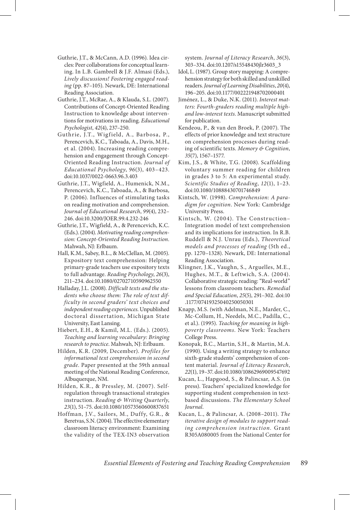- Guthrie, J.T., & McCann, A.D. (1996). Idea circles: Peer collaborations for conceptual learning. In L.B. Gambrell & J.F. Almasi (Eds.), Lively discussions! Fostering engaged reading (pp. 87–105). Newark, DE: International Reading Association.
- Guthrie, J.T., McRae, A., & Klauda, S.L. (2007). Contributions of Concept-Oriented Reading Instruction to knowledge about interventions for motivations in reading. Educational Psychologist, 42(4), 237–250.
- Guthrie, J.T., Wigfield, A., Barbosa, P., Perencevich, K.C., Taboada, A., Davis, M.H., et al. (2004). Increasing reading comprehension and engagement through Concept-Oriented Reading Instruction. Journal of Educational Psychology, 96(3), 403–423. doi:10.1037/0022-0663.96.3.403
- Guthrie, J.T., Wigfield, A., Humenick, N.M., Perencevich, K.C., Taboada, A., & Barbosa, P. (2006). Influences of stimulating tasks on reading motivation and comprehension. Journal of Educational Research, 99(4), 232– 246. doi:10.3200/JOER.99.4.232-246
- Guthrie, J.T., Wigfield, A., & Perencevich, K.C. (Eds.). (2004). Motivating reading comprehension: Concept-Oriented Reading Instruction. Mahwah, NJ: Erlbaum.
- Hall, K.M., Sabey, B.L., & McClellan, M. (2005). Expository text comprehension: Helping primary-grade teachers use expository texts to full advantage. Reading Psychology, 26(3), 211–234. doi:10.1080/02702710590962550
- Halladay, J.L. (2008). Difficult texts and the students who choose them: The role of text difficulty in second graders' text choices and independent reading experiences. Unpublished doctoral dissertation, Michigan State University, East Lansing.
- Hiebert, E.H., & Kamil, M.L. (Eds.). (2005). Teaching and learning vocabulary: Bringing research to practice. Mahwah, NJ: Erlbaum.
- Hilden, K.R. (2009, December). Profiles for informational text comprehension in second grade. Paper presented at the 59th annual meeting of the National Reading Conference, Albuquerque, NM.
- Hilden, K.R., & Pressley, M. (2007). Selfregulation through transactional strategies instruction. Reading & Writing Quarterly, 23(1), 51–75. doi:10.1080/10573560600837651
- Hoffman, J.V., Sailors, M., Duffy, G.R., & Beretvas, S.N. (2004). The effective elementary classroom literacy environment: Examining the validity of the TEX-IN3 observation

system. Journal of Literacy Research, 36(3), 303–334. doi:10.1207/s15548430jlr3603\_3

- Idol, L. (1987). Group story mapping: A comprehension strategy for both skilled and unskilled readers. Journal of Learning Disabilities, 20(4), 196–205. doi:10.1177/002221948702000401
- Jiménez, L., & Duke, N.K. (2011). Interest matters: Fourth-graders reading multiple highand low-interest texts. Manuscript submitted for publication.
- Kendeou, P., & van den Broek, P. (2007). The effects of prior knowledge and text structure on comprehension processes during reading of scientific texts. Memory & Cognition, 35(7), 1567–1577.
- Kim, J.S., & White, T.G. (2008). Scaffolding voluntary summer reading for children in grades 3 to 5: An experimental study. Scientific Studies of Reading, 12(1), 1–23. doi:10.1080/10888430701746849
- Kintsch, W. (1998). Comprehension: A paradigm for cognition. New York: Cambridge University Press.
- Kintsch, W. (2004). The Construction– Integration model of text comprehension and its implications for instruction. In R.B. Ruddell & N.J. Unrau (Eds.), Theoretical models and processes of reading (5th ed., pp. 1270–1328). Newark, DE: International Reading Association.
- Klingner, J.K., Vaughn, S., Arguelles, M.E., Hughes, M.T., & Leftwich, S.A. (2004). Collaborative strategic reading: "Real-world" lessons from classroom teachers. Remedial and Special Education, 25(5), 291–302. doi:10 .1177/07419325040250050301
- Knapp, M.S. (with Adelman, N.E., Marder, C., Mc-Collum, H., Needels, M.C., Padilla, C., et al.). (1995). Teaching for meaning in highpoverty classrooms. New York: Teachers College Press.
- Konopak, B.C., Martin, S.H., & Martin, M.A. (1990). Using a writing strategy to enhance sixth-grade students' comprehension of content material. Journal of Literacy Research, 22(1), 19–37. doi:10.1080/10862969009547692
- Kucan, L., Hapgood, S., & Palincsar, A.S. (in press). Teachers' specialized knowledge for supporting student comprehension in textbased discussions. The Elementary School Journal.
- Kucan, L., & Palincsar, A. (2008–2011). The iterative design of modules to support reading comprehension instruction. Grant R305A080005 from the National Center for

Essential Elements of Fostering and Teaching Reading Comprehension 89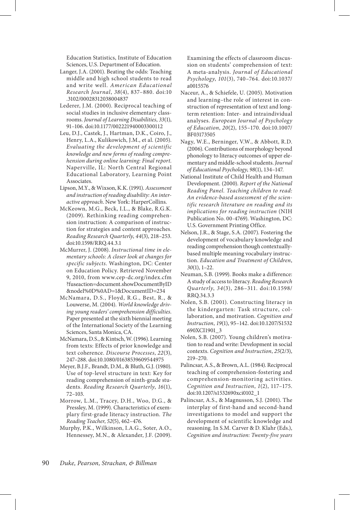Education Statistics, Institute of Education Sciences, U.S. Department of Education.

- Langer, J.A. (2001). Beating the odds: Teaching middle and high school students to read and write well. American Educational Research Journal, 38(4), 837–880. doi:10 .3102/00028312038004837
- Lederer, J.M. (2000). Reciprocal teaching of social studies in inclusive elementary classrooms. Journal of Learning Disabilities, 33(1), 91–106. doi:10.1177/002221940003300112
- Leu, D.J., Castek, J., Hartman, D.K., Coiro, J., Henry, L.A., Kulikowich, J.M., et al. (2005). Evaluating the development of scientific knowledge and new forms of reading comprehension during online learning: Final report. Naperville, IL: North Central Regional Educational Laboratory, Learning Point Associates.
- Lipson, M.Y., & Wixson, K.K. (1991). Assessment and instruction of reading disability: An interactive approach. New York: HarperCollins.
- McKeown, M.G., Beck, I.L., & Blake, R.G.K. (2009). Rethinking reading comprehension instruction: A comparison of instruction for strategies and content approaches. Reading Research Quarterly, 44(3), 218–253. doi:10.1598/RRQ.44.3.1
- McMurrer, J. (2008). Instructional time in elementary schools: A closer look at changes for specific subjects. Washington, DC: Center on Education Policy. Retrieved November 9, 2010, from www.cep-dc.org/index.cfm ?fuseaction=document.showDocumentByID &nodeI%0D%0AD=1&DocumentID=234
- McNamara, D.S., Floyd, R.G., Best, R., & Louwerse, M. (2004). World knowledge driving young readers' comprehension difficulties. Paper presented at the sixth biennial meeting of the International Society of the Learning Sciences, Santa Monica, CA.
- McNamara, D.S., & Kintsch, W. (1996). Learning from texts: Effects of prior knowledge and text coherence. Discourse Processes, 22(3), 247–288. doi:10.1080/01638539609544975
- Meyer, B.J.F., Brandt, D.M., & Bluth, G.J. (1980). Use of top-level structure in text: Key for reading comprehension of ninth-grade students. Reading Research Quarterly, 16(1), 72–103.
- Morrow, L.M., Tracey, D.H., Woo, D.G., & Pressley, M. (1999). Characteristics of exemplary first-grade literacy instruction. The Reading Teacher, 52(5), 462–476.
- Murphy, P.K., Wilkinson, I.A.G., Soter, A.O., Hennessey, M.N., & Alexander, J.F. (2009).

Examining the effects of classroom discussion on students' comprehension of text: A meta-analysis. Journal of Educational Psychology, 101(3), 740–764. doi:10.1037/ a0015576

- Naceur, A., & Schiefele, U. (2005). Motivation and learning–the role of interest in construction of representation of text and longterm retention: Inter- and intraindividual analyses. European Journal of Psychology of Education, 20(2), 155–170. doi:10.1007/ BF03173505
- Nagy, W.E., Berninger, V.W., & Abbott, R.D. (2006). Contributions of morphology beyond phonology to literacy outcomes of upper elementary and middle-school students. Journal of Educational Psychology, 98(1), 134–147.
- National Institute of Child Health and Human Development. (2000). Report of the National Reading Panel. Teaching children to read: An evidence-based assessment of the scientific research literature on reading and its implications for reading instruction (NIH Publication No. 00-4769). Washington, DC: U.S. Government Printing Office.
- Nelson, J.R., & Stage, S.A. (2007). Fostering the development of vocabulary knowledge and reading comprehension though contextuallybased multiple meaning vocabulary instruction. Education and Treatment of Children, 30(1), 1–22.
- Neuman, S.B. (1999). Books make a difference: A study of access to literacy. Reading Research Quarterly, 34(3), 286–311. doi:10.1598/ RRQ.34.3.3
- Nolen, S.B. (2001). Constructing literacy in the kindergarten: Task structure, collaboration, and motivation. Cognition and Instruction, 19(1), 95–142. doi:10.1207/S1532 690XCI1901\_3
- Nolen, S.B. (2007). Young children's motivation to read and write: Development in social contexts. Cognition and Instruction, 25(2/3), 219–270.
- Palincsar, A.S., & Brown, A.L. (1984). Reciprocal teaching of comprehension-fostering and comprehension-monitoring activities. Cognition and Instruction, 1(2), 117–175. doi:10.1207/s1532690xci0102\_1
- Palincsar, A.S., & Magnusson, S.J. (2001). The interplay of first-hand and second-hand investigations to model and support the development of scientific knowledge and reasoning. In S.M. Carver & D. Klahr (Eds.), Cognition and instruction: Twenty-five years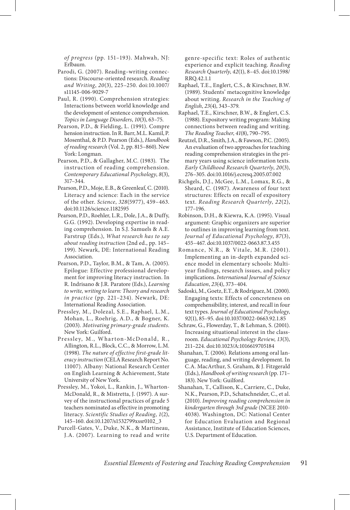of progress (pp. 151–193). Mahwah, NJ: Erlbaum.

- Parodi, G. (2007). Reading–writing connections: Discourse-oriented research. Reading and Writing, 20(3), 225–250. doi:10.1007/ s11145-006-9029-7
- Paul, R. (1990). Comprehension strategies: Interactions between world knowledge and the development of sentence comprehension. Topics in Language Disorders, 10(3), 63–75.
- Pearson, P.D., & Fielding, L. (1991). Compre hension instruction. In R. Barr, M.L. Kamil, P. Mosenthal, & P.D. Pearson (Eds.), Handbook of reading research (Vol. 2, pp. 815–860). New York: Longman.
- Pearson, P.D., & Gallagher, M.C. (1983). The instruction of reading comprehension. Contemporary Educational Psychology, 8(3), 317–344.
- Pearson, P.D., Moje, E.B., & Greenleaf, C. (2010). Literacy and science: Each in the service of the other. Science, 328(5977), 459–463. doi:10.1126/science.1182595
- Pearson, P.D., Roehler, L.R., Dole, J.A., & Duffy, G.G. (1992). Developing expertise in reading comprehension. In S.J. Samuels & A.E. Farstrup (Eds.), What research has to say about reading instruction (2nd ed., pp. 145– 199). Newark, DE: International Reading Association.
- Pearson, P.D., Taylor, B.M., & Tam, A. (2005). Epilogue: Effective professional development for improving literacy instruction. In R. Indrisano & J.R. Paratore (Eds.), Learning to write, writing to learn: Theory and research in practice (pp. 221–234). Newark, DE: International Reading Association.
- Pressley, M., Dolezal, S.E., Raphael, L.M., Mohan, L., Roehrig, A.D., & Bogner, K. (2003). Motivating primary-grade students. New York: Guilford.
- Pressley, M., Wharton-McDonald, R., Allington, R.L., Block, C.C., & Morrow, L.M. (1998). The nature of effective first-grade literacy instruction (CELA Research Report No. 11007). Albany: National Research Center on English Learning & Achievement, State University of New York.
- Pressley, M., Yokoi, L., Rankin, J., Wharton-McDonald, R., & Mistretta, J. (1997). A survey of the instructional practices of grade 5 teachers nominated as effective in promoting literacy. Scientific Studies of Reading, 1(2), 145–160. doi:10.1207/s1532799xssr0102\_3
- Purcell-Gates, V., Duke, N.K., & Martineau, J.A. (2007). Learning to read and write

genre-specific text: Roles of authentic experience and explicit teaching. Reading Research Quarterly, 42(1), 8–45. doi:10.1598/ RRQ.42.1.1

- Raphael, T.E., Englert, C.S., & Kirschner, B.W. (1989). Students' metacognitive knowledge about writing. Research in the Teaching of English, 23(4), 343–379.
- Raphael, T.E., Kirschner, B.W., & Englert, C.S. (1988). Expository writing program: Making connections between reading and writing. The Reading Teacher, 41(8), 790–795.
- Reutzel, D.R., Smith, J.A., & Fawson, P.C. (2005). An evaluation of two approaches for teaching reading comprehension strategies in the primary years using science information texts. Early Childhood Research Quarterly, 20(3), 276–305. doi:10.1016/j.ecresq.2005.07.002
- Richgels, D.J., McGee, L.M., Lomax, R.G., & Sheard, C. (1987). Awareness of four text structures: Effects on recall of expository text. Reading Research Quarterly, 22(2), 177–196.
- Robinson, D.H., & Kiewra, K.A. (1995). Visual argument: Graphic organizers are superior to outlines in improving learning from text. Journal of Educational Psychology, 87(3), 455–467. doi:10.1037/0022-0663.87.3.455
- Romance, N.R., & Vitale, M.R. (2001). Implementing an in-depth expanded science model in elementary schools: Multiyear findings, research issues, and policy implications. International Journal of Science Education, 23(4), 373–404.
- Sadoski, M., Goetz, E.T., & Rodriguez, M. (2000). Engaging texts: Effects of concreteness on comprehensibility, interest, and recall in four text types. Journal of Educational Psychology, 92(1), 85–95. doi:10.1037/0022-0663.92.1.85
- Schraw, G., Flowerday, T., & Lehman, S. (2001). Increasing situational interest in the classroom. Educational Psychology Review, 13(3), 211–224. doi:10.1023/A:1016619705184
- Shanahan, T. (2006). Relations among oral language, reading, and writing development. In C.A. MacArthur, S. Graham, & J. Fitzgerald (Eds.), Handbook of writing research (pp. 171– 183). New York: Guilford.
- Shanahan, T., Callison, K., Carriere, C., Duke, N.K., Pearson, P.D., Schatschneider, C., et al. (2010). Improving reading comprehension in kindergarten through 3rd grade (NCEE 2010- 4038). Washington, DC: National Center for Education Evaluation and Regional Assistance, Institute of Education Sciences, U.S. Department of Education.

Essential Elements of Fostering and Teaching Reading Comprehension 91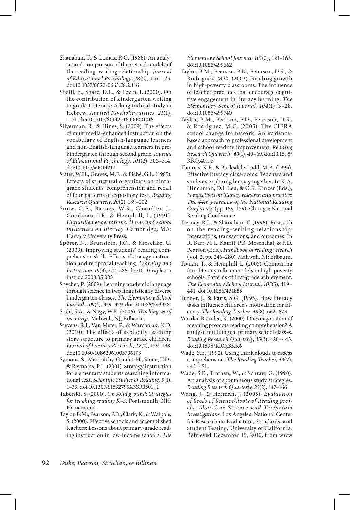- Shanahan, T., & Lomax, R.G. (1986). An analysis and comparison of theoretical models of the reading–writing relationship. Journal of Educational Psychology, 78(2), 116–123. doi:10.1037/0022-0663.78.2.116
- Shatil, E., Share, D.L., & Levin, I. (2000). On the contribution of kindergarten writing to grade 1 literacy: A longitudinal study in Hebrew. Applied Psycholinguistics, 21(1), 1–21. doi:10.1017/S0142716400001016
- Silverman, R., & Hines, S. (2009). The effects of multimedia-enhanced instruction on the vocabulary of English-language learners and non-English-language learners in prekindergarten through second grade. Journal of Educational Psychology, 101(2), 305–314. doi:10.1037/a0014217
- Slater, W.H., Graves, M.F., & Piché, G.L. (1985). Effects of structural organizers on ninthgrade students' comprehension and recall of four patterns of expository text. Reading Research Quarterly, 20(2), 189–202.
- Snow, C.E ., Barnes, W.S., Chandler, J., Goodman, I.F., & Hemphill, L. (1991). Unfulfilled expectations: Home and school influences on literacy. Cambridge, MA: Harvard University Press.
- Spörer, N., Brunstein, J.C., & Kieschke, U. (2009). Improving students' reading comprehension skills: Effects of strategy instruction and reciprocal teaching. Learning and Instruction, 19(3), 272–286. doi:10.1016/j.learn instruc.2008.05.003
- Spycher, P. (2009). Learning academic language through science in two linguistically diverse kindergarten classes. The Elementary School Journal, 109(4), 359–379. doi:10.1086/593938
- Stahl, S.A., & Nagy, W.E. (2006). Teaching word meanings. Mahwah, NJ, Erlbaum.
- Stevens, R.J., Van Meter, P., & Warcholak, N.D. (2010). The effects of explicitly teaching story structure to primary grade children. Journal of Literacy Research, 42(2), 159–198. doi:10.1080/10862961003796173
- Symons, S., MacLatchy-Gaudet, H., Stone, T.D., & Reynolds, P.L. (2001). Strategy instruction for elementary students searching informational text. Scientific Studies of Reading, 5(1), 1–33. doi:10.1207/S1532799XSSR0501\_1
- Taberski, S. (2000). On solid ground: Strategies for teaching reading K–3. Portsmouth, NH: Heinemann.
- Taylor, B.M., Pearson, P.D., Clark, K., & Walpole, S. (2000). Effective schools and accomplished teachers: Lessons about primary-grade reading instruction in low-income schools. The

Elementary School Journal, 101(2), 121–165. doi:10.1086/499662

- Taylor, B.M., Pearson, P.D., Peterson, D.S., & Rodriguez, M.C. (2003). Reading growth in high-poverty classrooms: The influence of teacher practices that encourage cognitive engagement in literacy learning. The Elementary School Journal, 104(1), 3–28. doi:10.1086/499740
- Taylor, B.M., Pearson, P.D., Peterson, D.S., & Rodriguez, M.C. (2005). The CIERA school change framework: An evidencebased approach to professional development and school reading improvement. Reading Research Quarterly, 40(1), 40–69. doi:10.1598/ RRQ.40.1.3
- Thomas, K.F., & Barksdale-Ladd, M.A. (1995). Effective literacy classrooms: Teachers and students exploring literacy together. In K.A. Hinchman, D.J. Leu, & C.K. Kinzer (Eds.), Perspectives on literacy research and practice: The 44th yearbook of the National Reading Conference (pp. 169–179). Chicago: National Reading Conference.
- Tierney, R.J., & Shanahan, T. (1996). Research on the reading–writing relationship: Interactions, transactions, and outcomes. In R. Barr, M.L. Kamil, P.B. Mosenthal, & P.D. Pearson (Eds.), Handbook of reading research (Vol. 2, pp. 246–280). Mahwah, NJ: Erlbaum.
- Tivnan, T., & Hemphill, L. (2005). Comparing four literacy reform models in high-poverty schools: Patterns of first-grade achievement. The Elementary School Journal, 105(5), 419– 441. doi:10.1086/431885
- Turner, J., & Paris, S.G. (1995). How literacy tasks influence children's motivation for literacy. The Reading Teacher, 48(8), 662–673.
- Van den Branden, K. (2000). Does negotiation of meaning promote reading comprehension? A study of multilingual primary school classes. Reading Research Quarterly, 35(3), 426–443. doi:10.1598/RRQ.35.3.6
- Wade, S.E. (1990). Using think alouds to assess comprehension. The Reading Teacher, 43(7), 442–451.
- Wade, S.E., Trathen, W., & Schraw, G. (1990). An analysis of spontaneous study strategies. Reading Research Quarterly, 25(2), 147–166.
- Wang, J., & Herman, J. (2005). Evaluation of Seeds of Science/Roots of Reading project: Shoreline Science and Terrarium Investigations. Los Angeles: National Center for Research on Evaluation, Standards, and Student Testing, University of California. Retrieved December 15, 2010, from www